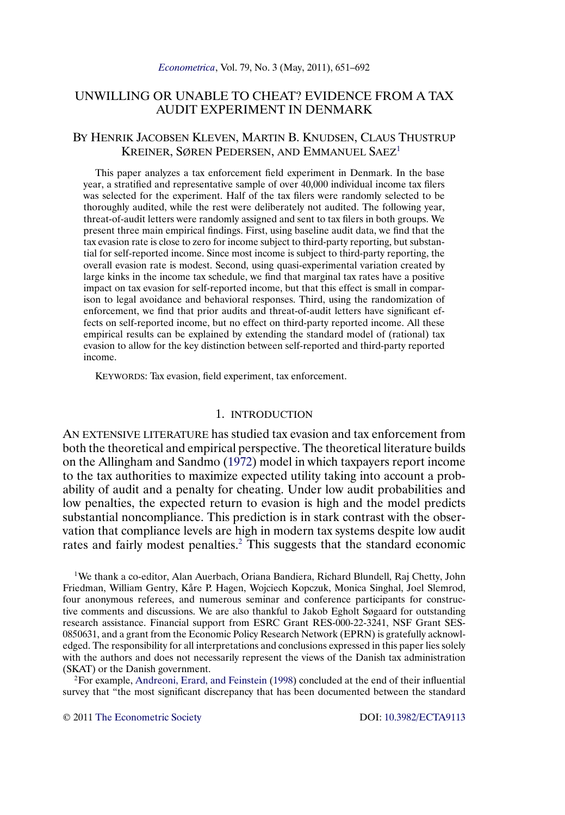# <span id="page-0-0"></span>UNWILLING OR UNABLE TO CHEAT? EVIDENCE FROM A TAX AUDIT EXPERIMENT IN DENMARK

# BY HENRIK JACOBSEN KLEVEN, MARTIN B. KNUDSEN, CLAUS THUSTRUP KREINER, SØREN PEDERSEN, AND EMMANUEL SAEZ1

This paper analyzes a tax enforcement field experiment in Denmark. In the base year, a stratified and representative sample of over 40,000 individual income tax filers was selected for the experiment. Half of the tax filers were randomly selected to be thoroughly audited, while the rest were deliberately not audited. The following year, threat-of-audit letters were randomly assigned and sent to tax filers in both groups. We present three main empirical findings. First, using baseline audit data, we find that the tax evasion rate is close to zero for income subject to third-party reporting, but substantial for self-reported income. Since most income is subject to third-party reporting, the overall evasion rate is modest. Second, using quasi-experimental variation created by large kinks in the income tax schedule, we find that marginal tax rates have a positive impact on tax evasion for self-reported income, but that this effect is small in comparison to legal avoidance and behavioral responses. Third, using the randomization of enforcement, we find that prior audits and threat-of-audit letters have significant effects on self-reported income, but no effect on third-party reported income. All these empirical results can be explained by extending the standard model of (rational) tax evasion to allow for the key distinction between self-reported and third-party reported income.

KEYWORDS: Tax evasion, field experiment, tax enforcement.

## 1. INTRODUCTION

AN EXTENSIVE LITERATURE has studied tax evasion and tax enforcement from both the theoretical and empirical perspective. The theoretical literature builds on the Allingham and Sandmo [\(1972\)](#page-40-0) model in which taxpayers report income to the tax authorities to maximize expected utility taking into account a probability of audit and a penalty for cheating. Under low audit probabilities and low penalties, the expected return to evasion is high and the model predicts substantial noncompliance. This prediction is in stark contrast with the observation that compliance levels are high in modern tax systems despite low audit rates and fairly modest penalties.<sup>2</sup> This suggests that the standard economic

1We thank a co-editor, Alan Auerbach, Oriana Bandiera, Richard Blundell, Raj Chetty, John Friedman, William Gentry, Kåre P. Hagen, Wojciech Kopczuk, Monica Singhal, Joel Slemrod, four anonymous referees, and numerous seminar and conference participants for constructive comments and discussions. We are also thankful to Jakob Egholt Søgaard for outstanding research assistance. Financial support from ESRC Grant RES-000-22-3241, NSF Grant SES-0850631, and a grant from the Economic Policy Research Network (EPRN) is gratefully acknowledged. The responsibility for all interpretations and conclusions expressed in this paper lies solely with the authors and does not necessarily represent the views of the Danish tax administration (SKAT) or the Danish government.

2For example, [Andreoni, Erard, and Feinstein](#page-40-0) [\(1998\)](#page-40-0) concluded at the end of their influential survey that "the most significant discrepancy that has been documented between the standard

© 2011 [The Econometric Society](http://www.econometricsociety.org/) DOI: [10.3982/ECTA9113](http://dx.doi.org/10.3982/ECTA9113)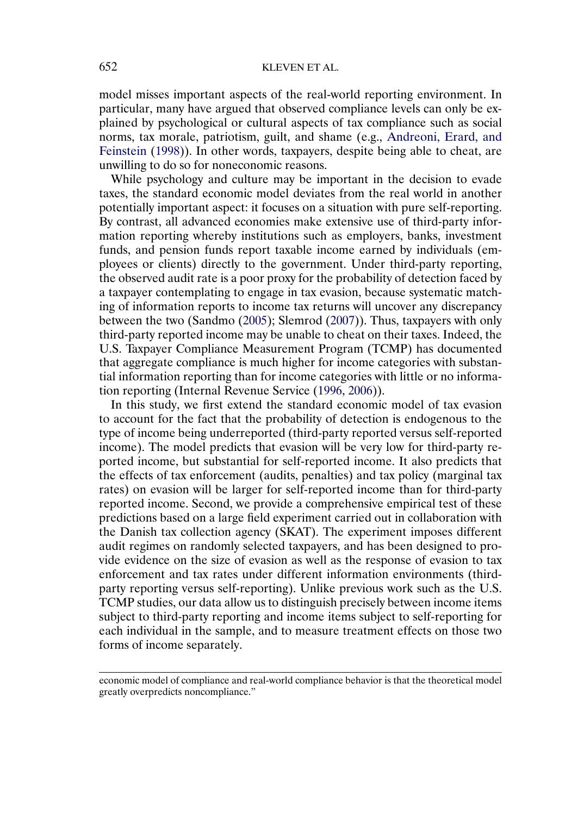<span id="page-1-0"></span>model misses important aspects of the real-world reporting environment. In particular, many have argued that observed compliance levels can only be explained by psychological or cultural aspects of tax compliance such as social norms, tax morale, patriotism, guilt, and shame (e.g., [Andreoni, Erard, and](#page-40-0) [Feinstein](#page-40-0) [\(1998\)](#page-40-0)). In other words, taxpayers, despite being able to cheat, are unwilling to do so for noneconomic reasons.

While psychology and culture may be important in the decision to evade taxes, the standard economic model deviates from the real world in another potentially important aspect: it focuses on a situation with pure self-reporting. By contrast, all advanced economies make extensive use of third-party information reporting whereby institutions such as employers, banks, investment funds, and pension funds report taxable income earned by individuals (employees or clients) directly to the government. Under third-party reporting, the observed audit rate is a poor proxy for the probability of detection faced by a taxpayer contemplating to engage in tax evasion, because systematic matching of information reports to income tax returns will uncover any discrepancy between the two (Sandmo [\(2005\)](#page-40-0); Slemrod [\(2007\)](#page-40-0)). Thus, taxpayers with only third-party reported income may be unable to cheat on their taxes. Indeed, the U.S. Taxpayer Compliance Measurement Program (TCMP) has documented that aggregate compliance is much higher for income categories with substantial information reporting than for income categories with little or no information reporting (Internal Revenue Service [\(1996,](#page-40-0) [2006\)](#page-40-0)).

In this study, we first extend the standard economic model of tax evasion to account for the fact that the probability of detection is endogenous to the type of income being underreported (third-party reported versus self-reported income). The model predicts that evasion will be very low for third-party reported income, but substantial for self-reported income. It also predicts that the effects of tax enforcement (audits, penalties) and tax policy (marginal tax rates) on evasion will be larger for self-reported income than for third-party reported income. Second, we provide a comprehensive empirical test of these predictions based on a large field experiment carried out in collaboration with the Danish tax collection agency (SKAT). The experiment imposes different audit regimes on randomly selected taxpayers, and has been designed to provide evidence on the size of evasion as well as the response of evasion to tax enforcement and tax rates under different information environments (thirdparty reporting versus self-reporting). Unlike previous work such as the U.S. TCMP studies, our data allow us to distinguish precisely between income items subject to third-party reporting and income items subject to self-reporting for each individual in the sample, and to measure treatment effects on those two forms of income separately.

economic model of compliance and real-world compliance behavior is that the theoretical model greatly overpredicts noncompliance."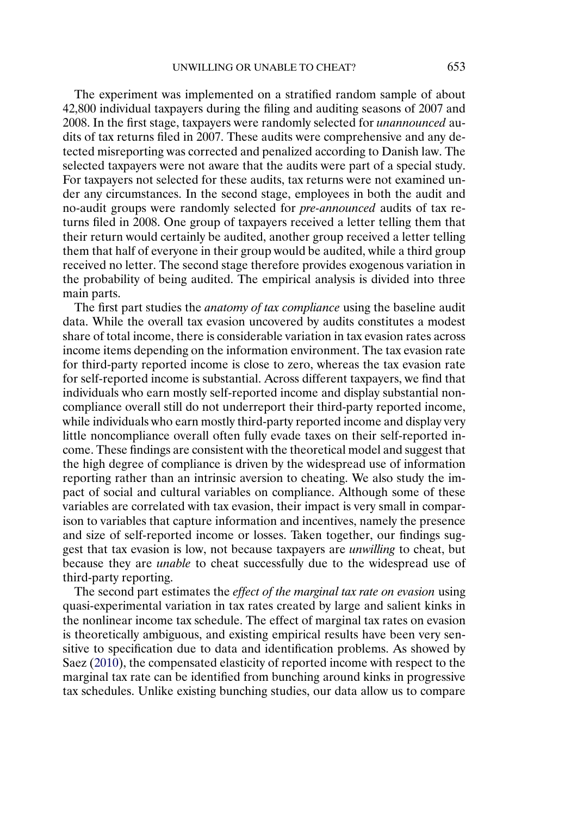<span id="page-2-0"></span>The experiment was implemented on a stratified random sample of about 42,800 individual taxpayers during the filing and auditing seasons of 2007 and 2008. In the first stage, taxpayers were randomly selected for *unannounced* audits of tax returns filed in 2007. These audits were comprehensive and any detected misreporting was corrected and penalized according to Danish law. The selected taxpayers were not aware that the audits were part of a special study. For taxpayers not selected for these audits, tax returns were not examined under any circumstances. In the second stage, employees in both the audit and no-audit groups were randomly selected for *pre-announced* audits of tax returns filed in 2008. One group of taxpayers received a letter telling them that their return would certainly be audited, another group received a letter telling them that half of everyone in their group would be audited, while a third group received no letter. The second stage therefore provides exogenous variation in the probability of being audited. The empirical analysis is divided into three main parts.

The first part studies the *anatomy of tax compliance* using the baseline audit data. While the overall tax evasion uncovered by audits constitutes a modest share of total income, there is considerable variation in tax evasion rates across income items depending on the information environment. The tax evasion rate for third-party reported income is close to zero, whereas the tax evasion rate for self-reported income is substantial. Across different taxpayers, we find that individuals who earn mostly self-reported income and display substantial noncompliance overall still do not underreport their third-party reported income, while individuals who earn mostly third-party reported income and display very little noncompliance overall often fully evade taxes on their self-reported income. These findings are consistent with the theoretical model and suggest that the high degree of compliance is driven by the widespread use of information reporting rather than an intrinsic aversion to cheating. We also study the impact of social and cultural variables on compliance. Although some of these variables are correlated with tax evasion, their impact is very small in comparison to variables that capture information and incentives, namely the presence and size of self-reported income or losses. Taken together, our findings suggest that tax evasion is low, not because taxpayers are *unwilling* to cheat, but because they are *unable* to cheat successfully due to the widespread use of third-party reporting.

The second part estimates the *effect of the marginal tax rate on evasion* using quasi-experimental variation in tax rates created by large and salient kinks in the nonlinear income tax schedule. The effect of marginal tax rates on evasion is theoretically ambiguous, and existing empirical results have been very sensitive to specification due to data and identification problems. As showed by Saez [\(2010\)](#page-40-0), the compensated elasticity of reported income with respect to the marginal tax rate can be identified from bunching around kinks in progressive tax schedules. Unlike existing bunching studies, our data allow us to compare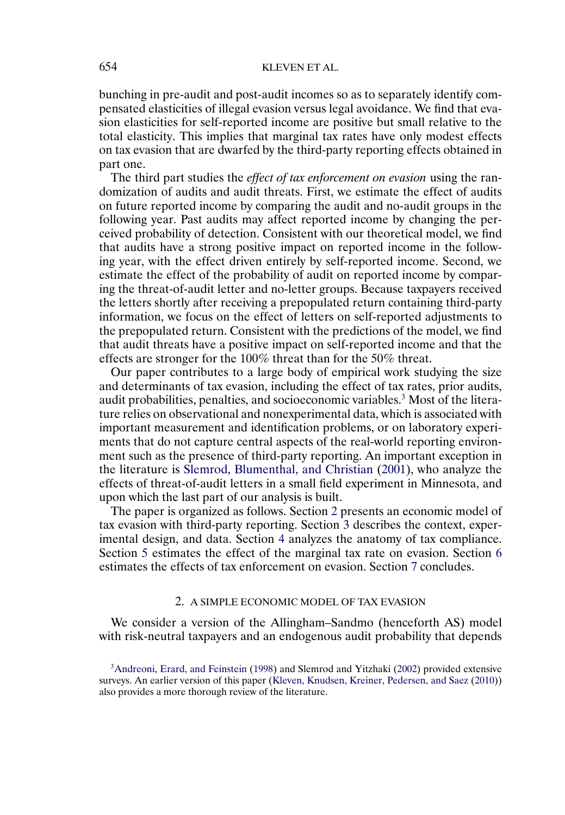# <span id="page-3-0"></span>654 KLEVEN ET AL.

bunching in pre-audit and post-audit incomes so as to separately identify compensated elasticities of illegal evasion versus legal avoidance. We find that evasion elasticities for self-reported income are positive but small relative to the total elasticity. This implies that marginal tax rates have only modest effects on tax evasion that are dwarfed by the third-party reporting effects obtained in part one.

The third part studies the *effect of tax enforcement on evasion* using the randomization of audits and audit threats. First, we estimate the effect of audits on future reported income by comparing the audit and no-audit groups in the following year. Past audits may affect reported income by changing the perceived probability of detection. Consistent with our theoretical model, we find that audits have a strong positive impact on reported income in the following year, with the effect driven entirely by self-reported income. Second, we estimate the effect of the probability of audit on reported income by comparing the threat-of-audit letter and no-letter groups. Because taxpayers received the letters shortly after receiving a prepopulated return containing third-party information, we focus on the effect of letters on self-reported adjustments to the prepopulated return. Consistent with the predictions of the model, we find that audit threats have a positive impact on self-reported income and that the effects are stronger for the 100% threat than for the 50% threat.

Our paper contributes to a large body of empirical work studying the size and determinants of tax evasion, including the effect of tax rates, prior audits, audit probabilities, penalties, and socioeconomic variables.3 Most of the literature relies on observational and nonexperimental data, which is associated with important measurement and identification problems, or on laboratory experiments that do not capture central aspects of the real-world reporting environment such as the presence of third-party reporting. An important exception in the literature is [Slemrod, Blumenthal, and Christian](#page-41-0) [\(2001\)](#page-41-0), who analyze the effects of threat-of-audit letters in a small field experiment in Minnesota, and upon which the last part of our analysis is built.

The paper is organized as follows. Section 2 presents an economic model of tax evasion with third-party reporting. Section [3](#page-7-0) describes the context, experimental design, and data. Section [4](#page-13-0) analyzes the anatomy of tax compliance. Section [5](#page-25-0) estimates the effect of the marginal tax rate on evasion. Section [6](#page-29-0) estimates the effects of tax enforcement on evasion. Section [7](#page-38-0) concludes.

### 2. A SIMPLE ECONOMIC MODEL OF TAX EVASION

We consider a version of the Allingham–Sandmo (henceforth AS) model with risk-neutral taxpayers and an endogenous audit probability that depends

[<sup>3</sup>Andreoni, Erard, and Feinstein](#page-40-0) [\(1998\)](#page-40-0) and Slemrod and Yitzhaki [\(2002\)](#page-41-0) provided extensive surveys. An earlier version of this paper [\(Kleven, Knudsen, Kreiner, Pedersen, and Saez](#page-40-0) [\(2010\)](#page-40-0)) also provides a more thorough review of the literature.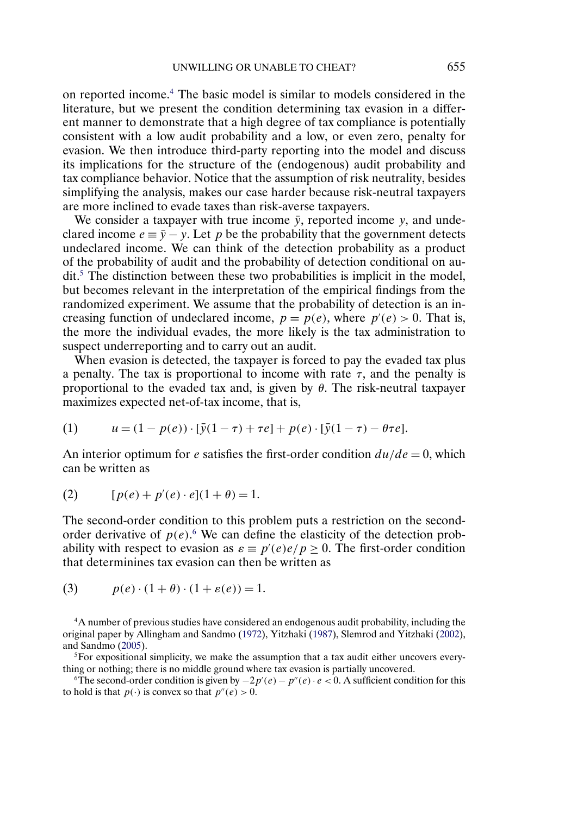<span id="page-4-0"></span>on reported income.4 The basic model is similar to models considered in the literature, but we present the condition determining tax evasion in a different manner to demonstrate that a high degree of tax compliance is potentially consistent with a low audit probability and a low, or even zero, penalty for evasion. We then introduce third-party reporting into the model and discuss its implications for the structure of the (endogenous) audit probability and tax compliance behavior. Notice that the assumption of risk neutrality, besides simplifying the analysis, makes our case harder because risk-neutral taxpayers are more inclined to evade taxes than risk-averse taxpayers.

We consider a taxpayer with true income  $\bar{y}$ , reported income  $y$ , and undeclared income  $e \equiv \bar{y} - y$ . Let p be the probability that the government detects undeclared income. We can think of the detection probability as a product of the probability of audit and the probability of detection conditional on audit.5 The distinction between these two probabilities is implicit in the model, but becomes relevant in the interpretation of the empirical findings from the randomized experiment. We assume that the probability of detection is an increasing function of undeclared income,  $p = p(e)$ , where  $p'(e) > 0$ . That is, the more the individual evades, the more likely is the tax administration to suspect underreporting and to carry out an audit.

When evasion is detected, the taxpayer is forced to pay the evaded tax plus a penalty. The tax is proportional to income with rate  $\tau$ , and the penalty is proportional to the evaded tax and, is given by  $\theta$ . The risk-neutral taxpayer maximizes expected net-of-tax income, that is,

(1) 
$$
u = (1 - p(e)) \cdot [\bar{y}(1 - \tau) + \tau e] + p(e) \cdot [\bar{y}(1 - \tau) - \theta \tau e].
$$

An interior optimum for e satisfies the first-order condition  $du/de = 0$ , which can be written as

(2) 
$$
[p(e) + p'(e) \cdot e](1 + \theta) = 1.
$$

The second-order condition to this problem puts a restriction on the secondorder derivative of  $p(e)$ .<sup>6</sup> We can define the elasticity of the detection probability with respect to evasion as  $\varepsilon = p'(e)e/p \ge 0$ . The first-order condition that determinines tax evasion can then be written as

(3) 
$$
p(e) \cdot (1+\theta) \cdot (1+\varepsilon(e)) = 1.
$$

<sup>4</sup>A number of previous studies have considered an endogenous audit probability, including the original paper by Allingham and Sandmo [\(1972\)](#page-40-0), Yitzhaki [\(1987\)](#page-41-0), Slemrod and Yitzhaki [\(2002\)](#page-41-0), and Sandmo [\(2005\)](#page-40-0).

5For expositional simplicity, we make the assumption that a tax audit either uncovers everything or nothing; there is no middle ground where tax evasion is partially uncovered.

<sup>6</sup>The second-order condition is given by  $-2p'(e) - p''(e) \cdot e < 0$ . A sufficient condition for this to hold is that  $p(\cdot)$  is convex so that  $p''(e) > 0$ .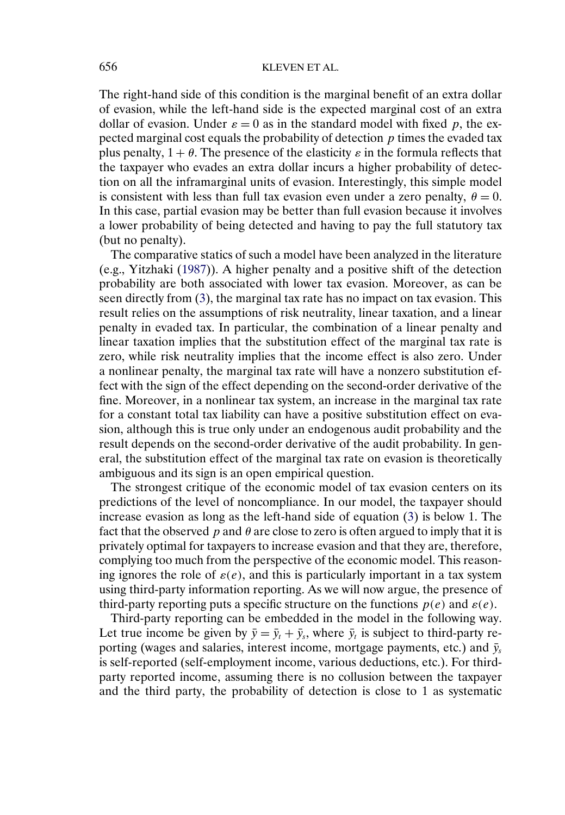<span id="page-5-0"></span>The right-hand side of this condition is the marginal benefit of an extra dollar of evasion, while the left-hand side is the expected marginal cost of an extra dollar of evasion. Under  $\varepsilon = 0$  as in the standard model with fixed p, the expected marginal cost equals the probability of detection  $p$  times the evaded tax plus penalty,  $1 + \theta$ . The presence of the elasticity  $\varepsilon$  in the formula reflects that the taxpayer who evades an extra dollar incurs a higher probability of detection on all the inframarginal units of evasion. Interestingly, this simple model is consistent with less than full tax evasion even under a zero penalty,  $\theta = 0$ . In this case, partial evasion may be better than full evasion because it involves a lower probability of being detected and having to pay the full statutory tax (but no penalty).

The comparative statics of such a model have been analyzed in the literature (e.g., Yitzhaki [\(1987\)](#page-41-0)). A higher penalty and a positive shift of the detection probability are both associated with lower tax evasion. Moreover, as can be seen directly from [\(3\)](#page-4-0), the marginal tax rate has no impact on tax evasion. This result relies on the assumptions of risk neutrality, linear taxation, and a linear penalty in evaded tax. In particular, the combination of a linear penalty and linear taxation implies that the substitution effect of the marginal tax rate is zero, while risk neutrality implies that the income effect is also zero. Under a nonlinear penalty, the marginal tax rate will have a nonzero substitution effect with the sign of the effect depending on the second-order derivative of the fine. Moreover, in a nonlinear tax system, an increase in the marginal tax rate for a constant total tax liability can have a positive substitution effect on evasion, although this is true only under an endogenous audit probability and the result depends on the second-order derivative of the audit probability. In general, the substitution effect of the marginal tax rate on evasion is theoretically ambiguous and its sign is an open empirical question.

The strongest critique of the economic model of tax evasion centers on its predictions of the level of noncompliance. In our model, the taxpayer should increase evasion as long as the left-hand side of equation [\(3\)](#page-4-0) is below 1. The fact that the observed p and  $\theta$  are close to zero is often argued to imply that it is privately optimal for taxpayers to increase evasion and that they are, therefore, complying too much from the perspective of the economic model. This reasoning ignores the role of  $\varepsilon(e)$ , and this is particularly important in a tax system using third-party information reporting. As we will now argue, the presence of third-party reporting puts a specific structure on the functions  $p(e)$  and  $\varepsilon(e)$ .

Third-party reporting can be embedded in the model in the following way. Let true income be given by  $\bar{y} = \bar{y}_t + \bar{y}_s$ , where  $\bar{y}_t$  is subject to third-party reporting (wages and salaries, interest income, mortgage payments, etc.) and  $\bar{y}_s$ is self-reported (self-employment income, various deductions, etc.). For thirdparty reported income, assuming there is no collusion between the taxpayer and the third party, the probability of detection is close to 1 as systematic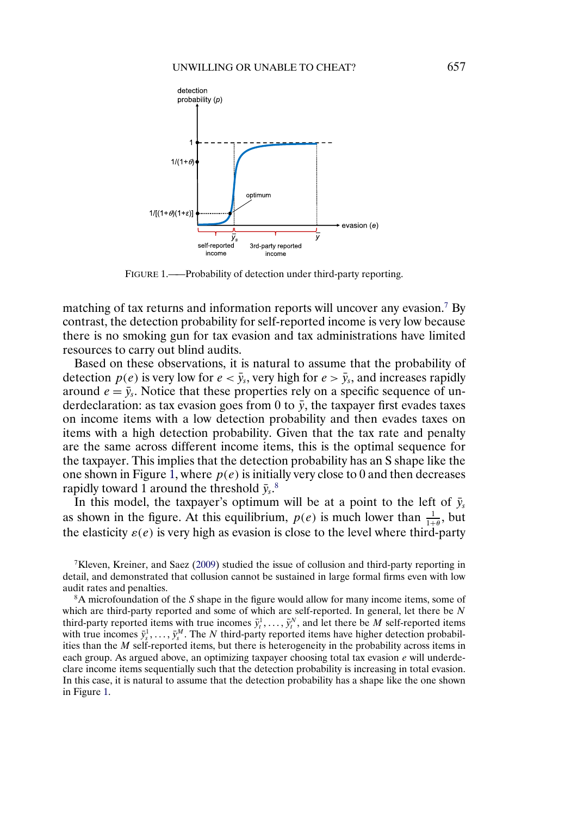<span id="page-6-0"></span>

FIGURE 1.——Probability of detection under third-party reporting.

matching of tax returns and information reports will uncover any evasion.7 By contrast, the detection probability for self-reported income is very low because there is no smoking gun for tax evasion and tax administrations have limited resources to carry out blind audits.

Based on these observations, it is natural to assume that the probability of detection  $p(e)$  is very low for  $e < \bar{y}_s$ , very high for  $e > \bar{y}_s$ , and increases rapidly around  $e = \bar{y}_s$ . Notice that these properties rely on a specific sequence of underdeclaration: as tax evasion goes from 0 to  $\bar{y}$ , the taxpayer first evades taxes on income items with a low detection probability and then evades taxes on items with a high detection probability. Given that the tax rate and penalty are the same across different income items, this is the optimal sequence for the taxpayer. This implies that the detection probability has an S shape like the one shown in Figure 1, where  $p(e)$  is initially very close to 0 and then decreases rapidly toward 1 around the threshold  $\bar{y}_s$ .<sup>8</sup>

In this model, the taxpayer's optimum will be at a point to the left of  $\bar{y}_s$ as shown in the figure. At this equilibrium,  $p(e)$  is much lower than  $\frac{1}{1+\theta}$ , but the elasticity  $\varepsilon(e)$  is very high as evasion is close to the level where third-party

7Kleven, Kreiner, and Saez [\(2009\)](#page-40-0) studied the issue of collusion and third-party reporting in detail, and demonstrated that collusion cannot be sustained in large formal firms even with low audit rates and penalties.

 $8A$  microfoundation of the S shape in the figure would allow for many income items, some of which are third-party reported and some of which are self-reported. In general, let there be  $N$ third-party reported items with true incomes  $\bar{y}_t^1, \ldots, \bar{y}_t^N$ , and let there be M self-reported items with true incomes  $\bar{y}_s^1, \ldots, \bar{y}_s^M$ . The N third-party reported items have higher detection probabilities than the M self-reported items, but there is heterogeneity in the probability across items in each group. As argued above, an optimizing taxpayer choosing total tax evasion  $e$  will underdeclare income items sequentially such that the detection probability is increasing in total evasion. In this case, it is natural to assume that the detection probability has a shape like the one shown in Figure 1.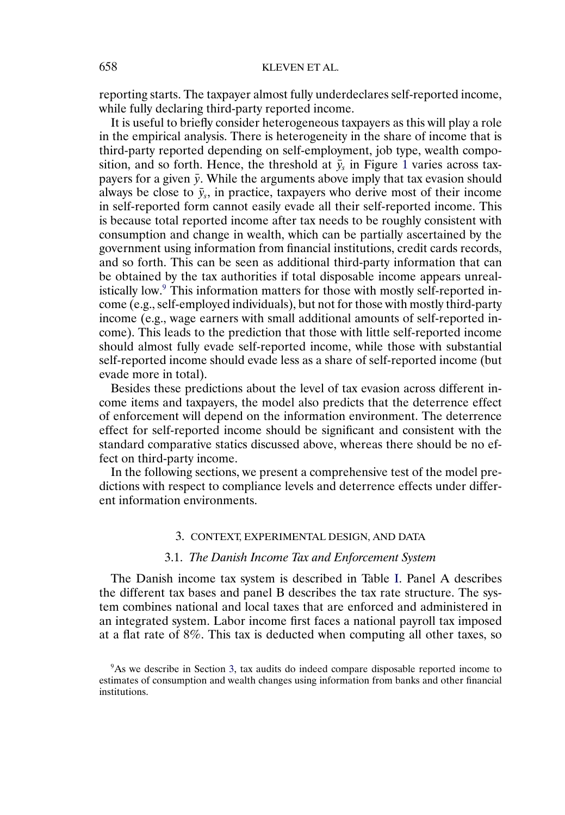<span id="page-7-0"></span>reporting starts. The taxpayer almost fully underdeclares self-reported income, while fully declaring third-party reported income.

It is useful to briefly consider heterogeneous taxpayers as this will play a role in the empirical analysis. There is heterogeneity in the share of income that is third-party reported depending on self-employment, job type, wealth composition, and so forth. Hence, the threshold at  $\bar{y}_s$  in Figure [1](#page-6-0) varies across taxpayers for a given  $\bar{y}$ . While the arguments above imply that tax evasion should always be close to  $\bar{y}_s$ , in practice, taxpayers who derive most of their income in self-reported form cannot easily evade all their self-reported income. This is because total reported income after tax needs to be roughly consistent with consumption and change in wealth, which can be partially ascertained by the government using information from financial institutions, credit cards records, and so forth. This can be seen as additional third-party information that can be obtained by the tax authorities if total disposable income appears unrealistically low.<sup>9</sup> This information matters for those with mostly self-reported income (e.g., self-employed individuals), but not for those with mostly third-party income (e.g., wage earners with small additional amounts of self-reported income). This leads to the prediction that those with little self-reported income should almost fully evade self-reported income, while those with substantial self-reported income should evade less as a share of self-reported income (but evade more in total).

Besides these predictions about the level of tax evasion across different income items and taxpayers, the model also predicts that the deterrence effect of enforcement will depend on the information environment. The deterrence effect for self-reported income should be significant and consistent with the standard comparative statics discussed above, whereas there should be no effect on third-party income.

In the following sections, we present a comprehensive test of the model predictions with respect to compliance levels and deterrence effects under different information environments.

# 3. CONTEXT, EXPERIMENTAL DESIGN, AND DATA

### 3.1. *The Danish Income Tax and Enforcement System*

The Danish income tax system is described in Table [I.](#page-9-0) Panel A describes the different tax bases and panel B describes the tax rate structure. The system combines national and local taxes that are enforced and administered in an integrated system. Labor income first faces a national payroll tax imposed at a flat rate of 8%. This tax is deducted when computing all other taxes, so

<sup>9</sup>As we describe in Section 3, tax audits do indeed compare disposable reported income to estimates of consumption and wealth changes using information from banks and other financial institutions.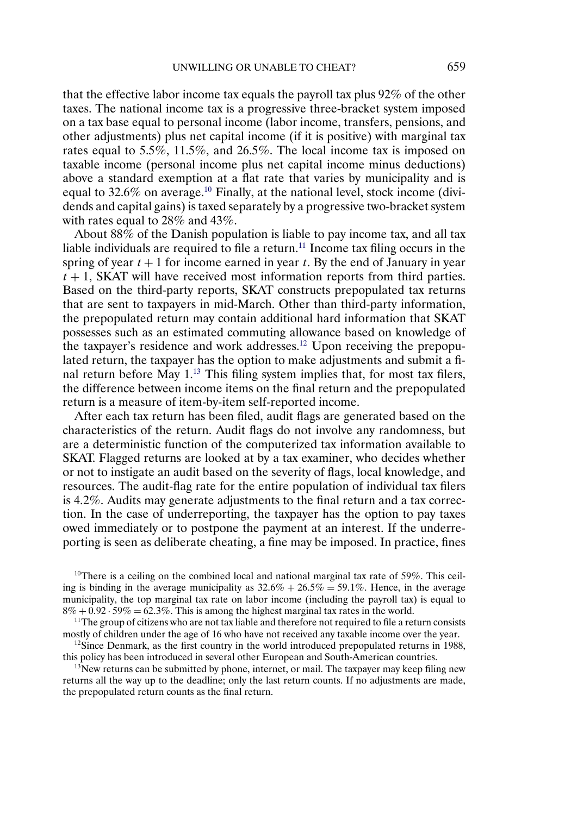that the effective labor income tax equals the payroll tax plus 92% of the other taxes. The national income tax is a progressive three-bracket system imposed on a tax base equal to personal income (labor income, transfers, pensions, and other adjustments) plus net capital income (if it is positive) with marginal tax rates equal to 5.5%, 11.5%, and 26.5%. The local income tax is imposed on taxable income (personal income plus net capital income minus deductions) above a standard exemption at a flat rate that varies by municipality and is equal to 32.6% on average.10 Finally, at the national level, stock income (dividends and capital gains) is taxed separately by a progressive two-bracket system with rates equal to 28% and 43%.

About 88% of the Danish population is liable to pay income tax, and all tax liable individuals are required to file a return.<sup>11</sup> Income tax filing occurs in the spring of year  $t + 1$  for income earned in year t. By the end of January in year  $t + 1$ , SKAT will have received most information reports from third parties. Based on the third-party reports, SKAT constructs prepopulated tax returns that are sent to taxpayers in mid-March. Other than third-party information, the prepopulated return may contain additional hard information that SKAT possesses such as an estimated commuting allowance based on knowledge of the taxpayer's residence and work addresses.12 Upon receiving the prepopulated return, the taxpayer has the option to make adjustments and submit a final return before May 1.<sup>13</sup> This filing system implies that, for most tax filers, the difference between income items on the final return and the prepopulated return is a measure of item-by-item self-reported income.

After each tax return has been filed, audit flags are generated based on the characteristics of the return. Audit flags do not involve any randomness, but are a deterministic function of the computerized tax information available to SKAT. Flagged returns are looked at by a tax examiner, who decides whether or not to instigate an audit based on the severity of flags, local knowledge, and resources. The audit-flag rate for the entire population of individual tax filers is 4.2%. Audits may generate adjustments to the final return and a tax correction. In the case of underreporting, the taxpayer has the option to pay taxes owed immediately or to postpone the payment at an interest. If the underreporting is seen as deliberate cheating, a fine may be imposed. In practice, fines

<sup>10</sup>There is a ceiling on the combined local and national marginal tax rate of 59%. This ceiling is binding in the average municipality as  $32.6\% + 26.5\% = 59.1\%$ . Hence, in the average municipality, the top marginal tax rate on labor income (including the payroll tax) is equal to  $8\% + 0.92 \cdot 59\% = 62.3\%$ . This is among the highest marginal tax rates in the world.<br><sup>11</sup>The group of citizens who are not tax liable and therefore not required to file a return consists

mostly of children under the age of 16 who have not received any taxable income over the year.

 $12$ Since Denmark, as the first country in the world introduced prepopulated returns in 1988, this policy has been introduced in several other European and South-American countries.

<sup>13</sup>New returns can be submitted by phone, internet, or mail. The taxpayer may keep filing new returns all the way up to the deadline; only the last return counts. If no adjustments are made, the prepopulated return counts as the final return.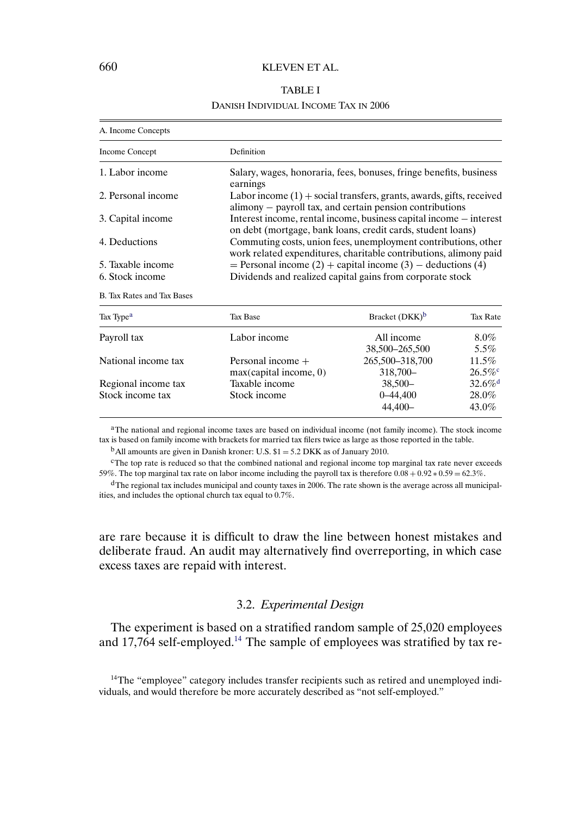### <span id="page-9-0"></span>660 KLEVEN ET AL.

# TABLE I DANISH INDIVIDUAL INCOME TAX IN 2006

| A. Income Concepts                |                                                                                                                                    |                                                                                                                                     |                       |  |  |  |  |  |  |  |
|-----------------------------------|------------------------------------------------------------------------------------------------------------------------------------|-------------------------------------------------------------------------------------------------------------------------------------|-----------------------|--|--|--|--|--|--|--|
| Income Concept                    | Definition                                                                                                                         |                                                                                                                                     |                       |  |  |  |  |  |  |  |
| 1. Labor income                   | Salary, wages, honoraria, fees, bonuses, fringe benefits, business<br>earnings                                                     |                                                                                                                                     |                       |  |  |  |  |  |  |  |
| 2. Personal income                | Labor income $(1)$ + social transfers, grants, awards, gifts, received<br>alimony – payroll tax, and certain pension contributions |                                                                                                                                     |                       |  |  |  |  |  |  |  |
| 3. Capital income                 | Interest income, rental income, business capital income – interest<br>on debt (mortgage, bank loans, credit cards, student loans)  |                                                                                                                                     |                       |  |  |  |  |  |  |  |
| 4. Deductions                     |                                                                                                                                    | Commuting costs, union fees, unemployment contributions, other<br>work related expenditures, charitable contributions, alimony paid |                       |  |  |  |  |  |  |  |
| 5. Taxable income                 | $=$ Personal income (2) + capital income (3) – deductions (4)                                                                      |                                                                                                                                     |                       |  |  |  |  |  |  |  |
| 6. Stock income                   | Dividends and realized capital gains from corporate stock                                                                          |                                                                                                                                     |                       |  |  |  |  |  |  |  |
| <b>B.</b> Tax Rates and Tax Bases |                                                                                                                                    |                                                                                                                                     |                       |  |  |  |  |  |  |  |
| Tax Type <sup>a</sup>             | <b>Tax Base</b>                                                                                                                    | Bracket (DKK) <sup>b</sup>                                                                                                          | <b>Tax Rate</b>       |  |  |  |  |  |  |  |
| Payroll tax                       | Labor income                                                                                                                       | All income                                                                                                                          | $8.0\%$               |  |  |  |  |  |  |  |
|                                   |                                                                                                                                    | 38,500-265,500                                                                                                                      | 5.5%                  |  |  |  |  |  |  |  |
| National income tax               | Personal income $+$                                                                                                                | 265,500-318,700                                                                                                                     | $11.5\%$              |  |  |  |  |  |  |  |
|                                   | max(capital income, 0)                                                                                                             | 318,700-                                                                                                                            | $26.5\%$              |  |  |  |  |  |  |  |
| Regional income tax               | Taxable income                                                                                                                     | $38,500-$                                                                                                                           | $32.6\%$ <sup>d</sup> |  |  |  |  |  |  |  |
| Stock income tax                  | Stock income                                                                                                                       | $0 - 44,400$                                                                                                                        | 28.0%                 |  |  |  |  |  |  |  |
|                                   |                                                                                                                                    | $44.400 -$                                                                                                                          | $43.0\%$              |  |  |  |  |  |  |  |

aThe national and regional income taxes are based on individual income (not family income). The stock income tax is based on family income with brackets for married tax filers twice as large as those reported in the table.

 $<sup>b</sup>$ All amounts are given in Danish kroner: U.S.  $$1 = 5.2$  DKK as of January 2010.</sup>

<sup>c</sup>The top rate is reduced so that the combined national and regional income top marginal tax rate never exceeds 59%. The top marginal tax rate on labor income including the payroll tax is therefore  $0.08 + 0.92 * 0.59 = 62.3%$ .

 $<sup>d</sup>$ The regional tax includes municipal and county taxes in 2006. The rate shown is the average across all municipal-</sup> ities, and includes the optional church tax equal to 0.7%.

are rare because it is difficult to draw the line between honest mistakes and deliberate fraud. An audit may alternatively find overreporting, in which case excess taxes are repaid with interest.

### 3.2. *Experimental Design*

The experiment is based on a stratified random sample of 25,020 employees and 17,764 self-employed.<sup>14</sup> The sample of employees was stratified by tax re-

<sup>14</sup>The "employee" category includes transfer recipients such as retired and unemployed individuals, and would therefore be more accurately described as "not self-employed."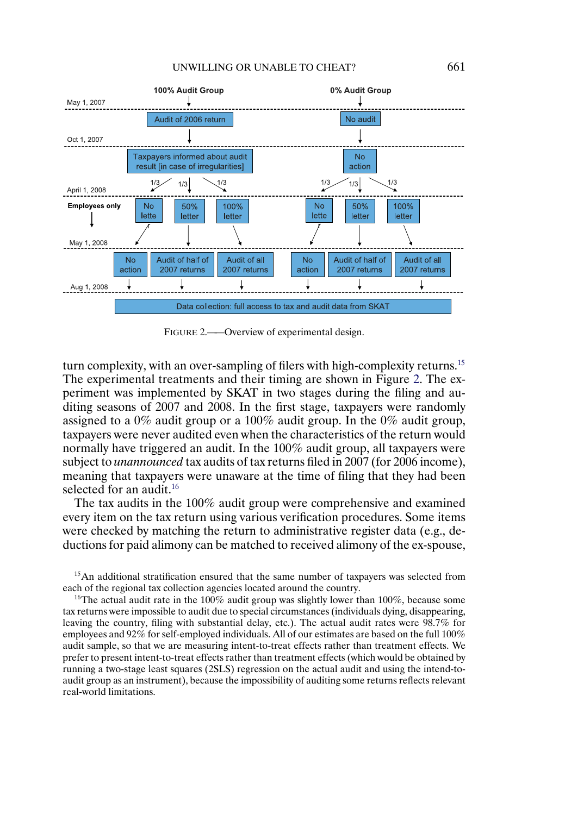<span id="page-10-0"></span>

FIGURE 2.——Overview of experimental design.

turn complexity, with an over-sampling of filers with high-complexity returns.15 The experimental treatments and their timing are shown in Figure 2. The experiment was implemented by SKAT in two stages during the filing and auditing seasons of 2007 and 2008. In the first stage, taxpayers were randomly assigned to a 0% audit group or a 100% audit group. In the 0% audit group, taxpayers were never audited even when the characteristics of the return would normally have triggered an audit. In the 100% audit group, all taxpayers were subject to *unannounced* tax audits of tax returns filed in 2007 (for 2006 income), meaning that taxpayers were unaware at the time of filing that they had been selected for an audit.<sup>16</sup>

The tax audits in the 100% audit group were comprehensive and examined every item on the tax return using various verification procedures. Some items were checked by matching the return to administrative register data (e.g., deductions for paid alimony can be matched to received alimony of the ex-spouse,

<sup>15</sup>An additional stratification ensured that the same number of taxpayers was selected from each of the regional tax collection agencies located around the country.

<sup>16</sup>The actual audit rate in the 100% audit group was slightly lower than 100%, because some tax returns were impossible to audit due to special circumstances (individuals dying, disappearing, leaving the country, filing with substantial delay, etc.). The actual audit rates were 98.7% for employees and 92% for self-employed individuals. All of our estimates are based on the full 100% audit sample, so that we are measuring intent-to-treat effects rather than treatment effects. We prefer to present intent-to-treat effects rather than treatment effects (which would be obtained by running a two-stage least squares (2SLS) regression on the actual audit and using the intend-toaudit group as an instrument), because the impossibility of auditing some returns reflects relevant real-world limitations.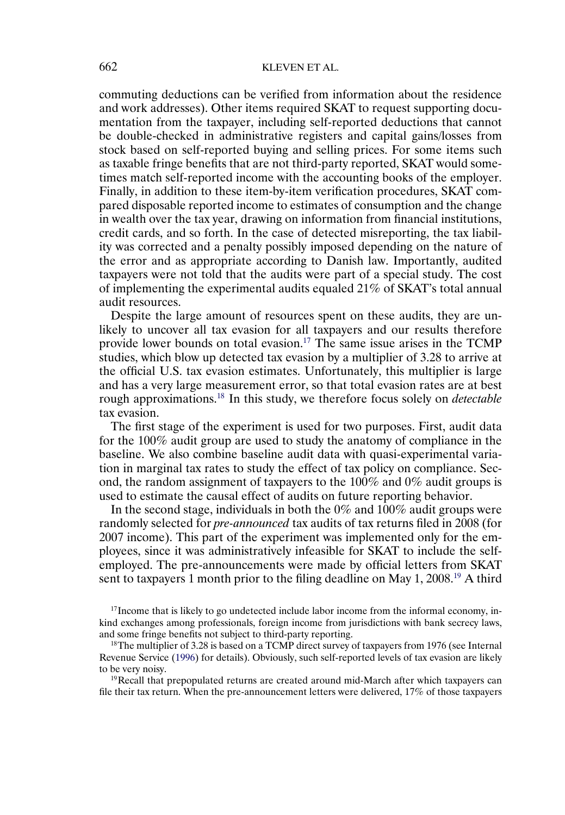commuting deductions can be verified from information about the residence and work addresses). Other items required SKAT to request supporting documentation from the taxpayer, including self-reported deductions that cannot be double-checked in administrative registers and capital gains/losses from stock based on self-reported buying and selling prices. For some items such as taxable fringe benefits that are not third-party reported, SKAT would sometimes match self-reported income with the accounting books of the employer. Finally, in addition to these item-by-item verification procedures, SKAT compared disposable reported income to estimates of consumption and the change in wealth over the tax year, drawing on information from financial institutions, credit cards, and so forth. In the case of detected misreporting, the tax liability was corrected and a penalty possibly imposed depending on the nature of the error and as appropriate according to Danish law. Importantly, audited taxpayers were not told that the audits were part of a special study. The cost of implementing the experimental audits equaled 21% of SKAT's total annual audit resources.

Despite the large amount of resources spent on these audits, they are unlikely to uncover all tax evasion for all taxpayers and our results therefore provide lower bounds on total evasion.<sup>17</sup> The same issue arises in the TCMP studies, which blow up detected tax evasion by a multiplier of 3.28 to arrive at the official U.S. tax evasion estimates. Unfortunately, this multiplier is large and has a very large measurement error, so that total evasion rates are at best rough approximations.18 In this study, we therefore focus solely on *detectable* tax evasion.

The first stage of the experiment is used for two purposes. First, audit data for the 100% audit group are used to study the anatomy of compliance in the baseline. We also combine baseline audit data with quasi-experimental variation in marginal tax rates to study the effect of tax policy on compliance. Second, the random assignment of taxpayers to the 100% and 0% audit groups is used to estimate the causal effect of audits on future reporting behavior.

In the second stage, individuals in both the 0% and 100% audit groups were randomly selected for *pre-announced* tax audits of tax returns filed in 2008 (for 2007 income). This part of the experiment was implemented only for the employees, since it was administratively infeasible for SKAT to include the selfemployed. The pre-announcements were made by official letters from SKAT sent to taxpayers 1 month prior to the filing deadline on May 1, 2008.<sup>19</sup> A third

 $19$ Recall that prepopulated returns are created around mid-March after which taxpayers can file their tax return. When the pre-announcement letters were delivered, 17% of those taxpayers

<sup>&</sup>lt;sup>17</sup>Income that is likely to go undetected include labor income from the informal economy, inkind exchanges among professionals, foreign income from jurisdictions with bank secrecy laws, and some fringe benefits not subject to third-party reporting.

<sup>&</sup>lt;sup>18</sup>The multiplier of 3.28 is based on a TCMP direct survey of taxpayers from 1976 (see Internal Revenue Service [\(1996\)](#page-40-0) for details). Obviously, such self-reported levels of tax evasion are likely to be very noisy.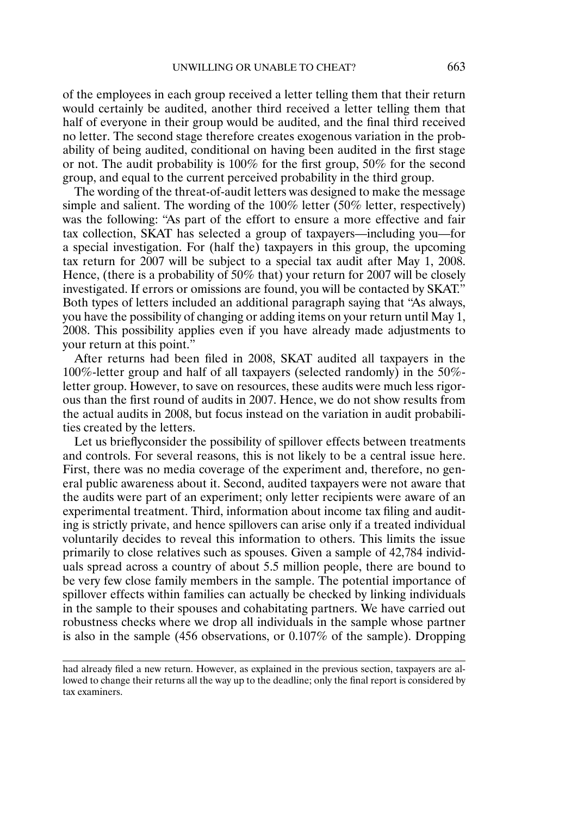of the employees in each group received a letter telling them that their return would certainly be audited, another third received a letter telling them that half of everyone in their group would be audited, and the final third received no letter. The second stage therefore creates exogenous variation in the probability of being audited, conditional on having been audited in the first stage or not. The audit probability is 100% for the first group, 50% for the second group, and equal to the current perceived probability in the third group.

The wording of the threat-of-audit letters was designed to make the message simple and salient. The wording of the 100% letter (50% letter, respectively) was the following: "As part of the effort to ensure a more effective and fair tax collection, SKAT has selected a group of taxpayers—including you—for a special investigation. For (half the) taxpayers in this group, the upcoming tax return for 2007 will be subject to a special tax audit after May 1, 2008. Hence, (there is a probability of 50% that) your return for 2007 will be closely investigated. If errors or omissions are found, you will be contacted by SKAT." Both types of letters included an additional paragraph saying that "As always, you have the possibility of changing or adding items on your return until May 1, 2008. This possibility applies even if you have already made adjustments to your return at this point."

After returns had been filed in 2008, SKAT audited all taxpayers in the 100%-letter group and half of all taxpayers (selected randomly) in the 50%letter group. However, to save on resources, these audits were much less rigorous than the first round of audits in 2007. Hence, we do not show results from the actual audits in 2008, but focus instead on the variation in audit probabilities created by the letters.

Let us brieflyconsider the possibility of spillover effects between treatments and controls. For several reasons, this is not likely to be a central issue here. First, there was no media coverage of the experiment and, therefore, no general public awareness about it. Second, audited taxpayers were not aware that the audits were part of an experiment; only letter recipients were aware of an experimental treatment. Third, information about income tax filing and auditing is strictly private, and hence spillovers can arise only if a treated individual voluntarily decides to reveal this information to others. This limits the issue primarily to close relatives such as spouses. Given a sample of 42,784 individuals spread across a country of about 5.5 million people, there are bound to be very few close family members in the sample. The potential importance of spillover effects within families can actually be checked by linking individuals in the sample to their spouses and cohabitating partners. We have carried out robustness checks where we drop all individuals in the sample whose partner is also in the sample (456 observations, or 0.107% of the sample). Dropping

had already filed a new return. However, as explained in the previous section, taxpayers are allowed to change their returns all the way up to the deadline; only the final report is considered by tax examiners.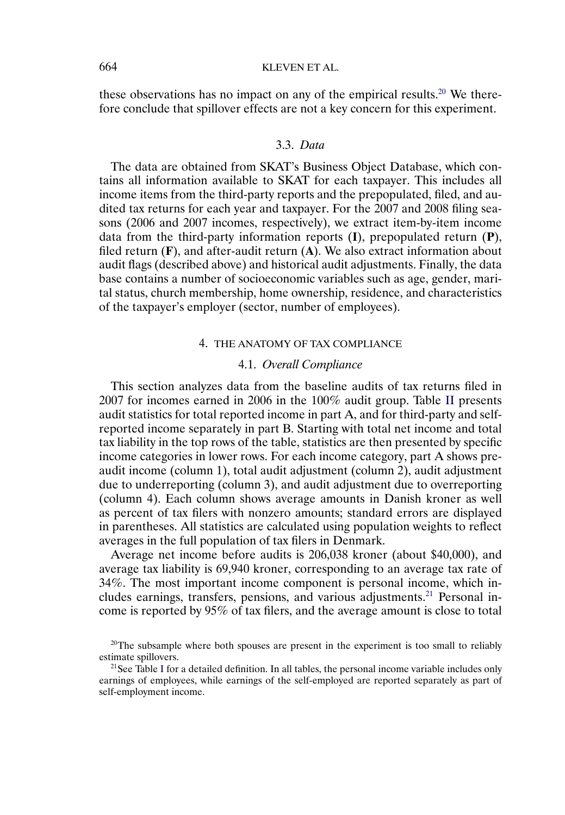# <span id="page-13-0"></span>664 KLEVEN ET AL.

these observations has no impact on any of the empirical results.<sup>20</sup> We therefore conclude that spillover effects are not a key concern for this experiment.

### 3.3. *Data*

The data are obtained from SKAT's Business Object Database, which contains all information available to SKAT for each taxpayer. This includes all income items from the third-party reports and the prepopulated, filed, and audited tax returns for each year and taxpayer. For the 2007 and 2008 filing seasons (2006 and 2007 incomes, respectively), we extract item-by-item income data from the third-party information reports (**I**), prepopulated return (**P**), filed return (**F**), and after-audit return (**A**). We also extract information about audit flags (described above) and historical audit adjustments. Finally, the data base contains a number of socioeconomic variables such as age, gender, marital status, church membership, home ownership, residence, and characteristics of the taxpayer's employer (sector, number of employees).

### 4. THE ANATOMY OF TAX COMPLIANCE

### 4.1. *Overall Compliance*

This section analyzes data from the baseline audits of tax returns filed in 2007 for incomes earned in 2006 in the 100% audit group. Table [II](#page-14-0) presents audit statistics for total reported income in part A, and for third-party and selfreported income separately in part B. Starting with total net income and total tax liability in the top rows of the table, statistics are then presented by specific income categories in lower rows. For each income category, part A shows preaudit income (column 1), total audit adjustment (column 2), audit adjustment due to underreporting (column 3), and audit adjustment due to overreporting (column 4). Each column shows average amounts in Danish kroner as well as percent of tax filers with nonzero amounts; standard errors are displayed in parentheses. All statistics are calculated using population weights to reflect averages in the full population of tax filers in Denmark.

Average net income before audits is 206,038 kroner (about \$40,000), and average tax liability is 69,940 kroner, corresponding to an average tax rate of 34%. The most important income component is personal income, which includes earnings, transfers, pensions, and various adjustments.<sup>21</sup> Personal income is reported by 95% of tax filers, and the average amount is close to total

 $20$ The subsample where both spouses are present in the experiment is too small to reliably estimate spillovers.

<sup>&</sup>lt;sup>21</sup>See Table [I](#page-9-0) for a detailed definition. In all tables, the personal income variable includes only earnings of employees, while earnings of the self-employed are reported separately as part of self-employment income.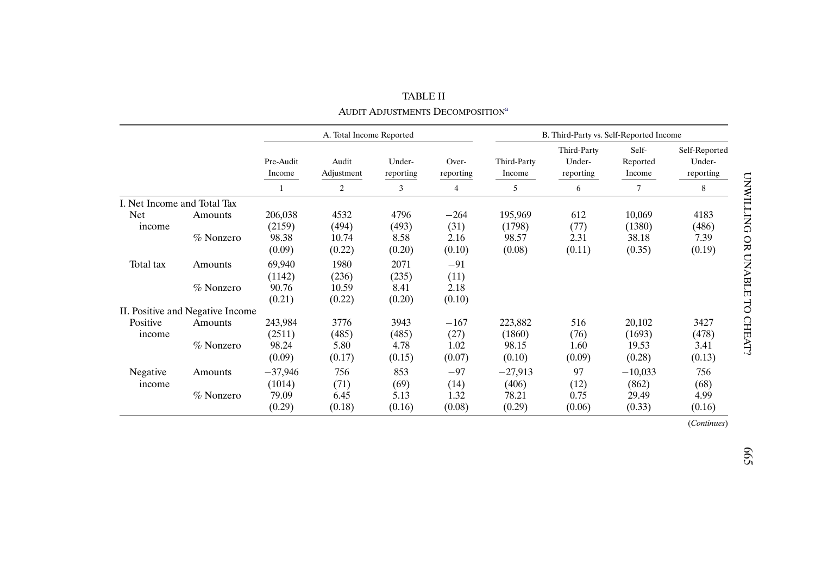<span id="page-14-0"></span>

|                             |                                  |                     | A. Total Income Reported |                     |                    |                       | B. Third-Party vs. Self-Reported Income |                             |                                      |
|-----------------------------|----------------------------------|---------------------|--------------------------|---------------------|--------------------|-----------------------|-----------------------------------------|-----------------------------|--------------------------------------|
|                             |                                  | Pre-Audit<br>Income | Audit<br>Adjustment      | Under-<br>reporting | Over-<br>reporting | Third-Party<br>Income | Third-Party<br>Under-<br>reporting      | Self-<br>Reported<br>Income | Self-Reported<br>Under-<br>reporting |
|                             |                                  | 1                   | $\overline{c}$           | 3                   | $\overline{4}$     | 5                     | 6                                       | $\tau$                      | 8                                    |
| I. Net Income and Total Tax |                                  |                     |                          |                     |                    |                       |                                         |                             |                                      |
| <b>Net</b><br>income        | Amounts                          | 206,038<br>(2159)   | 4532<br>(494)            | 4796<br>(493)       | $-264$<br>(31)     | 195,969<br>(1798)     | 612<br>(77)                             | 10,069<br>(1380)            | 4183<br>(486)                        |
|                             | $%$ Nonzero                      | 98.38<br>(0.09)     | 10.74<br>(0.22)          | 8.58<br>(0.20)      | 2.16<br>(0.10)     | 98.57<br>(0.08)       | 2.31<br>(0.11)                          | 38.18<br>(0.35)             | 7.39<br>(0.19)                       |
| Total tax                   | Amounts                          | 69,940<br>(1142)    | 1980<br>(236)            | 2071<br>(235)       | $-91$<br>(11)      |                       |                                         |                             |                                      |
|                             | $%$ Nonzero                      | 90.76<br>(0.21)     | 10.59<br>(0.22)          | 8.41<br>(0.20)      | 2.18<br>(0.10)     |                       |                                         |                             |                                      |
|                             | II. Positive and Negative Income |                     |                          |                     |                    |                       |                                         |                             |                                      |
| Positive<br>income          | Amounts                          | 243,984<br>(2511)   | 3776<br>(485)            | 3943<br>(485)       | $-167$<br>(27)     | 223,882<br>(1860)     | 516<br>(76)                             | 20,102<br>(1693)            | 3427<br>(478)                        |
|                             | $%$ Nonzero                      | 98.24<br>(0.09)     | 5.80<br>(0.17)           | 4.78<br>(0.15)      | 1.02<br>(0.07)     | 98.15<br>(0.10)       | 1.60<br>(0.09)                          | 19.53<br>(0.28)             | 3.41<br>(0.13)                       |
| Negative<br>income          | Amounts                          | $-37,946$<br>(1014) | 756<br>(71)              | 853<br>(69)         | $-97$<br>(14)      | $-27,913$<br>(406)    | 97<br>(12)                              | $-10,033$<br>(862)          | 756<br>(68)                          |
|                             | $%$ Nonzero                      | 79.09<br>(0.29)     | 6.45<br>(0.18)           | 5.13<br>(0.16)      | 1.32<br>(0.08)     | 78.21<br>(0.29)       | 0.75<br>(0.06)                          | 29.49<br>(0.33)             | 4.99<br>(0.16)                       |

TABLE II AUDIT ADJUSTMENTS DECOMPOSITION<sup>[a](#page-16-0)</sup>

(*Continues*)

UNWILLING OR UNABLE TO CHEAT?

UNWILLING OR UNABLE TO CHEAT?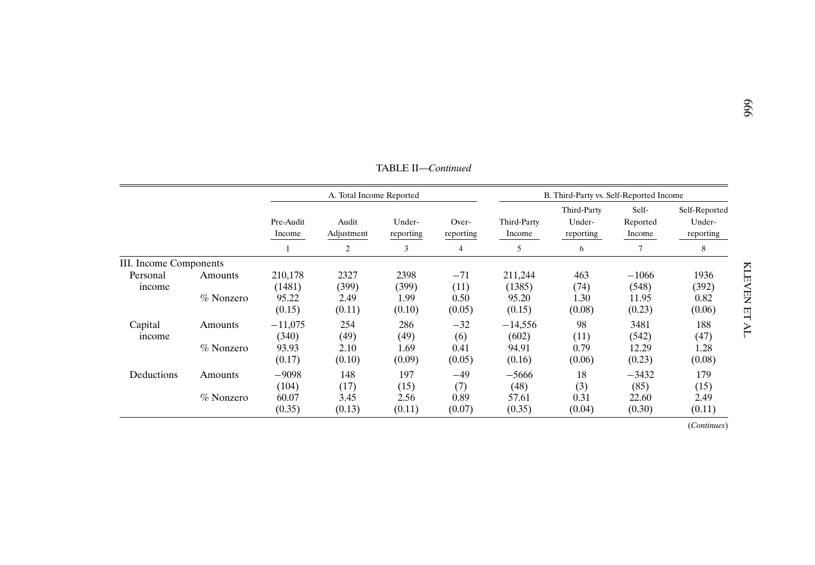|                        |                        |                            | A. Total Income Reported |                        |                       | B. Third-Party vs. Self-Reported Income |                                    |                             |                                      |  |
|------------------------|------------------------|----------------------------|--------------------------|------------------------|-----------------------|-----------------------------------------|------------------------------------|-----------------------------|--------------------------------------|--|
|                        |                        | Pre-Audit<br>Income        | Audit<br>Adjustment      | Under-<br>reporting    | Over-<br>reporting    | Third-Party<br>Income                   | Third-Party<br>Under-<br>reporting | Self-<br>Reported<br>Income | Self-Reported<br>Under-<br>reporting |  |
|                        |                        |                            | 2                        | 3                      | $\overline{4}$        | 5                                       | 6                                  | $\overline{7}$              | 8                                    |  |
| III. Income Components |                        |                            |                          |                        |                       |                                         |                                    |                             |                                      |  |
| Personal<br>income     | Amounts<br>$%$ Nonzero | 210,178<br>(1481)<br>95.22 | 2327<br>(399)<br>2.49    | 2398<br>(399)<br>1.99  | $-71$<br>(11)<br>0.50 | 211,244<br>(1385)<br>95.20              | 463<br>(74)<br>1.30                | $-1066$<br>(548)<br>11.95   | 1936<br>(392)<br>0.82                |  |
| Capital                | Amounts                | (0.15)<br>$-11,075$        | (0.11)<br>254            | (0.10)<br>286          | (0.05)<br>$-32$       | (0.15)<br>$-14,556$                     | (0.08)<br>98                       | (0.23)<br>3481              | (0.06)<br>188                        |  |
| income                 | $%$ Nonzero            | (340)<br>93.93<br>(0.17)   | (49)<br>2.10<br>(0.10)   | (49)<br>1.69<br>(0.09) | (6)<br>0.41<br>(0.05) | (602)<br>94.91<br>(0.16)                | (11)<br>0.79<br>(0.06)             | (542)<br>12.29<br>(0.23)    | (47)<br>1.28<br>(0.08)               |  |
| Deductions             | Amounts                | $-9098$<br>(104)           | 148<br>(17)              | 197<br>(15)            | $-49$<br>(7)          | $-5666$<br>(48)                         | 18<br>(3)                          | $-3432$<br>(85)             | 179<br>(15)                          |  |
|                        | $%$ Nonzero            | 60.07<br>(0.35)            | 3.45<br>(0.13)           | 2.56<br>(0.11)         | 0.89<br>(0.07)        | 57.61<br>(0.35)                         | 0.31<br>(0.04)                     | 22.60<br>(0.30)             | 2.49<br>(0.11)                       |  |

(*Continues*)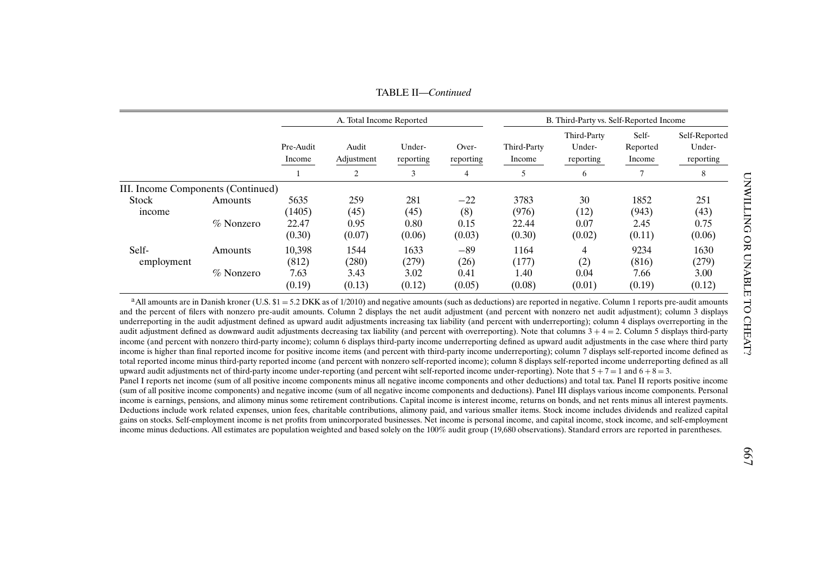<span id="page-16-0"></span>

|                                    |                        |                         | A. Total Income Reported |                     |                      |                        | B. Third-Party vs. Self-Reported Income |                             |                                      |
|------------------------------------|------------------------|-------------------------|--------------------------|---------------------|----------------------|------------------------|-----------------------------------------|-----------------------------|--------------------------------------|
|                                    |                        | Pre-Audit<br>Income     | Audit<br>Adjustment      | Under-<br>reporting | Over-<br>reporting   | Third-Party<br>Income  | Third-Party<br>Under-<br>reporting      | Self-<br>Reported<br>Income | Self-Reported<br>Under-<br>reporting |
|                                    |                        |                         | $\overline{2}$           | 3                   | 4                    | 5                      | 6                                       |                             | 8                                    |
| III. Income Components (Continued) |                        |                         |                          |                     |                      |                        |                                         |                             |                                      |
| <b>Stock</b><br>income             | Amounts<br>$%$ Nonzero | 5635<br>(1405)<br>22.47 | 259<br>(45)<br>0.95      | 281<br>(45)<br>0.80 | $-22$<br>(8)<br>0.15 | 3783<br>(976)<br>22.44 | 30<br>(12)<br>0.07                      | 1852<br>(943)<br>2.45       | 251<br>(43)<br>0.75                  |
|                                    |                        | (0.30)                  | (0.07)                   | (0.06)              | (0.03)               | (0.30)                 | (0.02)                                  | (0.11)                      | (0.06)                               |
| Self-<br>employment                | Amounts                | 10,398<br>(812)         | 1544<br>(280)            | 1633<br>(279)       | $-89$<br>(26)        | 1164<br>(177)          | 4<br>(2)                                | 9234<br>(816)               | 1630<br>(279)                        |
|                                    | $%$ Nonzero            | 7.63<br>(0.19)          | 3.43<br>(0.13)           | 3.02<br>(0.12)      | 0.41<br>(0.05)       | 1.40<br>(0.08)         | 0.04<br>(0.01)                          | 7.66<br>(0.19)              | 3.00<br>(0.12)                       |

TABLE II—*Continued*

<sup>a</sup>All amounts are in Danish kroner (U.S.  $$1 = 5.2$  DKK as of 1/2010) and negative amounts (such as deductions) are reported in negative. Column 1 reports pre-audit amounts and the percen<sup>t</sup> of filers with nonzero pre-audit amounts. Column 2 displays the net audit adjustment (and percen<sup>t</sup> with nonzero net audit adjustment); column 3 displays underreporting in the audit adjustment defined as upward audit adjustments increasing tax liability (and percen<sup>t</sup> with underreporting); column 4 displays overreporting in the audit adjustment defined as downward audit adjustments decreasing tax liability (and percent with overreporting). Note that columns  $3 + 4 = 2$ . Column 5 displays third-party income (and percen<sup>t</sup> with nonzero third-party income); column 6 displays third-party income underreporting defined as upward audit adjustments in the case where third party income is higher than final reported income for positive income items (and percen<sup>t</sup> with third-party income underreporting); column 7 displays self-reported income defined as total reported income minus third-party reported income (and percen<sup>t</sup> with nonzero self-reported income); column 8 displays self-reported income underreporting defined as all upward audit adjustments net of third-party income under-reporting (and percent wiht self-reported income under-reporting). Note that  $5 + 7 = 1$  and  $6 + 8 = 3$ . Panel <sup>I</sup> reports net income (sum of all positive income components minus all negative income components and other deductions) and total tax. Panel II reports positive income (sum of all positive income components) and negative income (sum of all negative income components and deductions). Panel III displays various income components. Personal income is earnings, pensions, and alimony minus some retirement contributions. Capital income is interest income, returns on bonds, and net rents minus all interest payments.

Deductions include work related expenses, union fees, charitable contributions, alimony paid, and various smaller items. Stock income includes dividends and realized capital gains on stocks. Self-employment income is net profits from unincorporated businesses. Net income is personal income, and capital income, stock income, and self-employment income minus deductions. All estimates are population weighted and based solely on the 100% audit group (19,680 observations). Standard errors are reported in parentheses.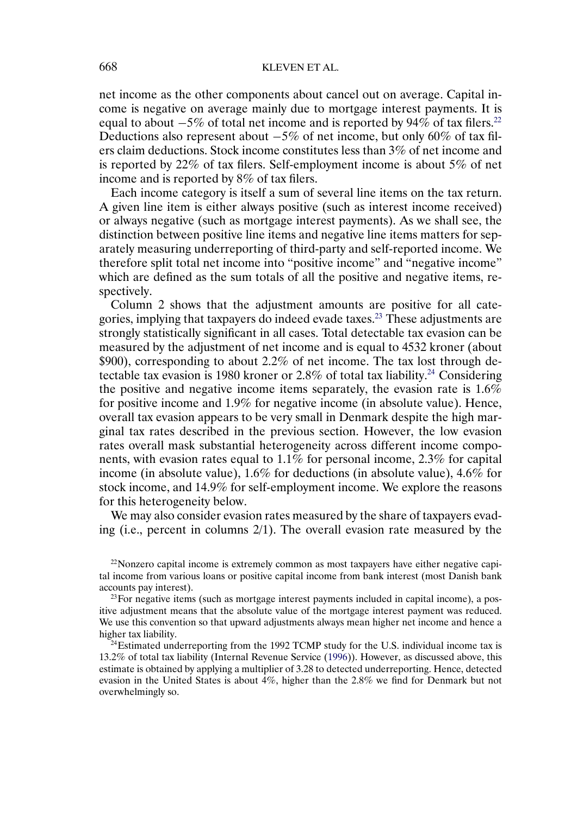net income as the other components about cancel out on average. Capital income is negative on average mainly due to mortgage interest payments. It is equal to about  $-5\%$  of total net income and is reported by 94% of tax filers.<sup>22</sup> Deductions also represent about −5% of net income, but only 60% of tax filers claim deductions. Stock income constitutes less than 3% of net income and is reported by 22% of tax filers. Self-employment income is about 5% of net income and is reported by 8% of tax filers.

Each income category is itself a sum of several line items on the tax return. A given line item is either always positive (such as interest income received) or always negative (such as mortgage interest payments). As we shall see, the distinction between positive line items and negative line items matters for separately measuring underreporting of third-party and self-reported income. We therefore split total net income into "positive income" and "negative income" which are defined as the sum totals of all the positive and negative items, respectively.

Column 2 shows that the adjustment amounts are positive for all categories, implying that taxpayers do indeed evade taxes.23 These adjustments are strongly statistically significant in all cases. Total detectable tax evasion can be measured by the adjustment of net income and is equal to 4532 kroner (about \$900), corresponding to about 2.2% of net income. The tax lost through detectable tax evasion is 1980 kroner or  $2.8\%$  of total tax liability.<sup>24</sup> Considering the positive and negative income items separately, the evasion rate is 1.6% for positive income and 1.9% for negative income (in absolute value). Hence, overall tax evasion appears to be very small in Denmark despite the high marginal tax rates described in the previous section. However, the low evasion rates overall mask substantial heterogeneity across different income components, with evasion rates equal to 1.1% for personal income, 2.3% for capital income (in absolute value), 1.6% for deductions (in absolute value), 4.6% for stock income, and 14.9% for self-employment income. We explore the reasons for this heterogeneity below.

We may also consider evasion rates measured by the share of taxpayers evading (i.e., percent in columns 2/1). The overall evasion rate measured by the

<sup>22</sup>Nonzero capital income is extremely common as most taxpayers have either negative capital income from various loans or positive capital income from bank interest (most Danish bank accounts pay interest).

 $23$ For negative items (such as mortgage interest payments included in capital income), a positive adjustment means that the absolute value of the mortgage interest payment was reduced. We use this convention so that upward adjustments always mean higher net income and hence a higher tax liability.

 $^{24}$ Estimated underreporting from the 1992 TCMP study for the U.S. individual income tax is 13.2% of total tax liability (Internal Revenue Service [\(1996\)](#page-40-0)). However, as discussed above, this estimate is obtained by applying a multiplier of 3.28 to detected underreporting. Hence, detected evasion in the United States is about 4%, higher than the 2.8% we find for Denmark but not overwhelmingly so.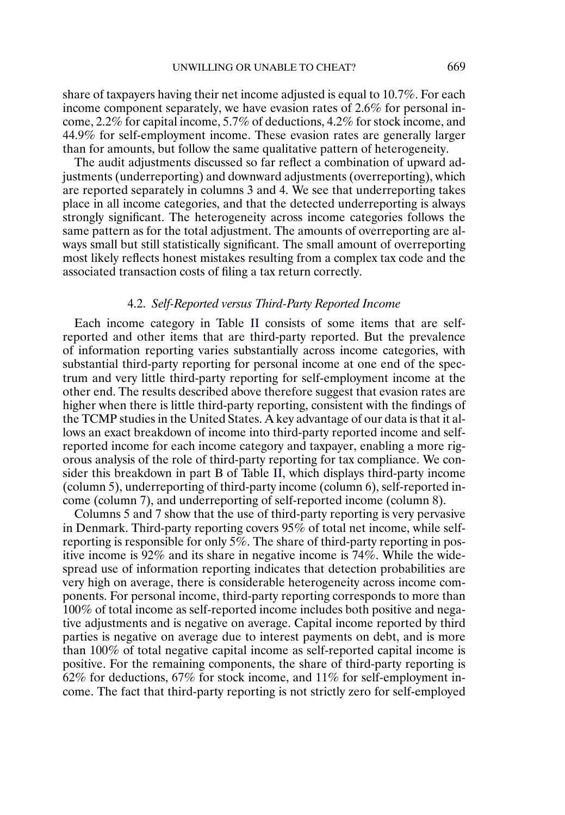share of taxpayers having their net income adjusted is equal to 10.7%. For each income component separately, we have evasion rates of 2.6% for personal income, 2.2% for capital income, 5.7% of deductions, 4.2% for stock income, and 44.9% for self-employment income. These evasion rates are generally larger than for amounts, but follow the same qualitative pattern of heterogeneity.

The audit adjustments discussed so far reflect a combination of upward adjustments (underreporting) and downward adjustments (overreporting), which are reported separately in columns 3 and 4. We see that underreporting takes place in all income categories, and that the detected underreporting is always strongly significant. The heterogeneity across income categories follows the same pattern as for the total adjustment. The amounts of overreporting are always small but still statistically significant. The small amount of overreporting most likely reflects honest mistakes resulting from a complex tax code and the associated transaction costs of filing a tax return correctly.

### 4.2. *Self-Reported versus Third-Party Reported Income*

Each income category in Table [II](#page-14-0) consists of some items that are selfreported and other items that are third-party reported. But the prevalence of information reporting varies substantially across income categories, with substantial third-party reporting for personal income at one end of the spectrum and very little third-party reporting for self-employment income at the other end. The results described above therefore suggest that evasion rates are higher when there is little third-party reporting, consistent with the findings of the TCMP studies in the United States. A key advantage of our data is that it allows an exact breakdown of income into third-party reported income and selfreported income for each income category and taxpayer, enabling a more rigorous analysis of the role of third-party reporting for tax compliance. We consider this breakdown in part B of Table [II,](#page-14-0) which displays third-party income (column 5), underreporting of third-party income (column 6), self-reported income (column 7), and underreporting of self-reported income (column 8).

Columns 5 and 7 show that the use of third-party reporting is very pervasive in Denmark. Third-party reporting covers 95% of total net income, while selfreporting is responsible for only 5%. The share of third-party reporting in positive income is 92% and its share in negative income is 74%. While the widespread use of information reporting indicates that detection probabilities are very high on average, there is considerable heterogeneity across income components. For personal income, third-party reporting corresponds to more than 100% of total income as self-reported income includes both positive and negative adjustments and is negative on average. Capital income reported by third parties is negative on average due to interest payments on debt, and is more than 100% of total negative capital income as self-reported capital income is positive. For the remaining components, the share of third-party reporting is 62% for deductions, 67% for stock income, and 11% for self-employment income. The fact that third-party reporting is not strictly zero for self-employed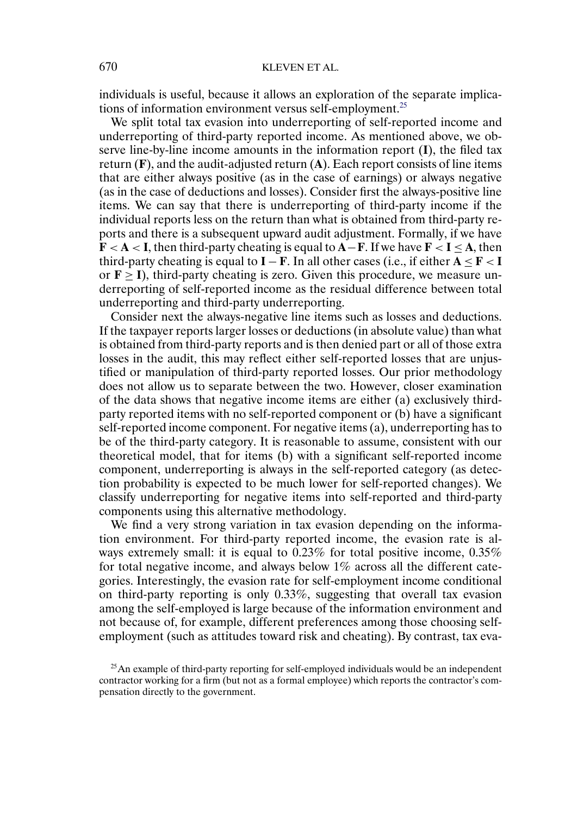individuals is useful, because it allows an exploration of the separate implications of information environment versus self-employment.25

We split total tax evasion into underreporting of self-reported income and underreporting of third-party reported income. As mentioned above, we observe line-by-line income amounts in the information report (**I**), the filed tax return (**F**), and the audit-adjusted return (**A**). Each report consists of line items that are either always positive (as in the case of earnings) or always negative (as in the case of deductions and losses). Consider first the always-positive line items. We can say that there is underreporting of third-party income if the individual reports less on the return than what is obtained from third-party reports and there is a subsequent upward audit adjustment. Formally, if we have **, then third-party cheating is equal to <b>A**−**F**. If we have **, then** third-party cheating is equal to  $I - F$ . In all other cases (i.e., if either  $A \leq F < I$ or  $\mathbf{F} \geq \mathbf{I}$ ), third-party cheating is zero. Given this procedure, we measure underreporting of self-reported income as the residual difference between total underreporting and third-party underreporting.

Consider next the always-negative line items such as losses and deductions. If the taxpayer reports larger losses or deductions (in absolute value) than what is obtained from third-party reports and is then denied part or all of those extra losses in the audit, this may reflect either self-reported losses that are unjustified or manipulation of third-party reported losses. Our prior methodology does not allow us to separate between the two. However, closer examination of the data shows that negative income items are either (a) exclusively thirdparty reported items with no self-reported component or (b) have a significant self-reported income component. For negative items (a), underreporting has to be of the third-party category. It is reasonable to assume, consistent with our theoretical model, that for items (b) with a significant self-reported income component, underreporting is always in the self-reported category (as detection probability is expected to be much lower for self-reported changes). We classify underreporting for negative items into self-reported and third-party components using this alternative methodology.

We find a very strong variation in tax evasion depending on the information environment. For third-party reported income, the evasion rate is always extremely small: it is equal to 0.23% for total positive income, 0.35% for total negative income, and always below 1% across all the different categories. Interestingly, the evasion rate for self-employment income conditional on third-party reporting is only 0.33%, suggesting that overall tax evasion among the self-employed is large because of the information environment and not because of, for example, different preferences among those choosing selfemployment (such as attitudes toward risk and cheating). By contrast, tax eva-

<sup>&</sup>lt;sup>25</sup>An example of third-party reporting for self-employed individuals would be an independent contractor working for a firm (but not as a formal employee) which reports the contractor's compensation directly to the government.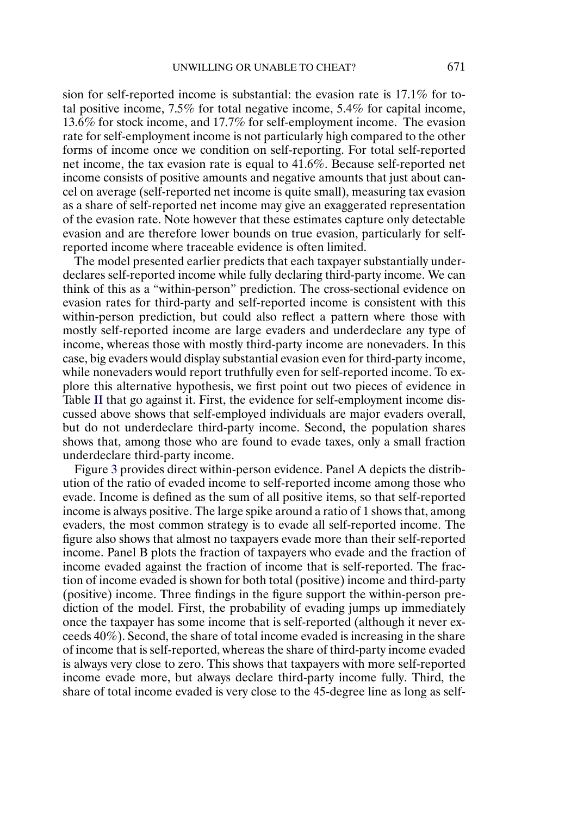sion for self-reported income is substantial: the evasion rate is 17.1% for total positive income, 7.5% for total negative income, 5.4% for capital income, 13.6% for stock income, and 17.7% for self-employment income. The evasion rate for self-employment income is not particularly high compared to the other forms of income once we condition on self-reporting. For total self-reported net income, the tax evasion rate is equal to 41.6%. Because self-reported net income consists of positive amounts and negative amounts that just about cancel on average (self-reported net income is quite small), measuring tax evasion as a share of self-reported net income may give an exaggerated representation of the evasion rate. Note however that these estimates capture only detectable evasion and are therefore lower bounds on true evasion, particularly for selfreported income where traceable evidence is often limited.

The model presented earlier predicts that each taxpayer substantially underdeclares self-reported income while fully declaring third-party income. We can think of this as a "within-person" prediction. The cross-sectional evidence on evasion rates for third-party and self-reported income is consistent with this within-person prediction, but could also reflect a pattern where those with mostly self-reported income are large evaders and underdeclare any type of income, whereas those with mostly third-party income are nonevaders. In this case, big evaders would display substantial evasion even for third-party income, while nonevaders would report truthfully even for self-reported income. To explore this alternative hypothesis, we first point out two pieces of evidence in Table [II](#page-14-0) that go against it. First, the evidence for self-employment income discussed above shows that self-employed individuals are major evaders overall, but do not underdeclare third-party income. Second, the population shares shows that, among those who are found to evade taxes, only a small fraction underdeclare third-party income.

Figure [3](#page-21-0) provides direct within-person evidence. Panel A depicts the distribution of the ratio of evaded income to self-reported income among those who evade. Income is defined as the sum of all positive items, so that self-reported income is always positive. The large spike around a ratio of 1 shows that, among evaders, the most common strategy is to evade all self-reported income. The figure also shows that almost no taxpayers evade more than their self-reported income. Panel B plots the fraction of taxpayers who evade and the fraction of income evaded against the fraction of income that is self-reported. The fraction of income evaded is shown for both total (positive) income and third-party (positive) income. Three findings in the figure support the within-person prediction of the model. First, the probability of evading jumps up immediately once the taxpayer has some income that is self-reported (although it never exceeds 40%). Second, the share of total income evaded is increasing in the share of income that is self-reported, whereas the share of third-party income evaded is always very close to zero. This shows that taxpayers with more self-reported income evade more, but always declare third-party income fully. Third, the share of total income evaded is very close to the 45-degree line as long as self-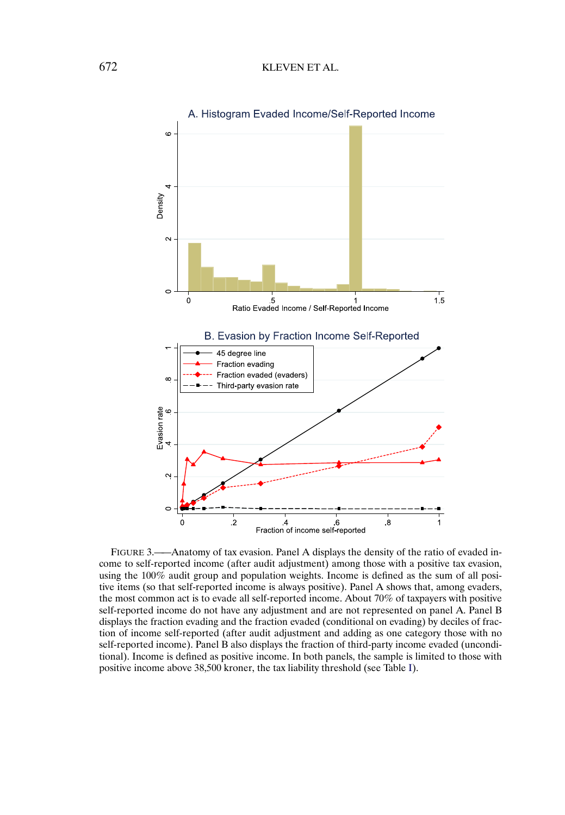<span id="page-21-0"></span>

A. Histogram Evaded Income/Self-Reported Income

FIGURE 3.——Anatomy of tax evasion. Panel A displays the density of the ratio of evaded income to self-reported income (after audit adjustment) among those with a positive tax evasion, using the  $100\%$  audit group and population weights. Income is defined as the sum of all positive items (so that self-reported income is always positive). Panel A shows that, among evaders, the most common act is to evade all self-reported income. About 70% of taxpayers with positive self-reported income do not have any adjustment and are not represented on panel A. Panel B displays the fraction evading and the fraction evaded (conditional on evading) by deciles of fraction of income self-reported (after audit adjustment and adding as one category those with no self-reported income). Panel B also displays the fraction of third-party income evaded (unconditional). Income is defined as positive income. In both panels, the sample is limited to those with positive income above 38,500 kroner, the tax liability threshold (see Table [I\)](#page-9-0).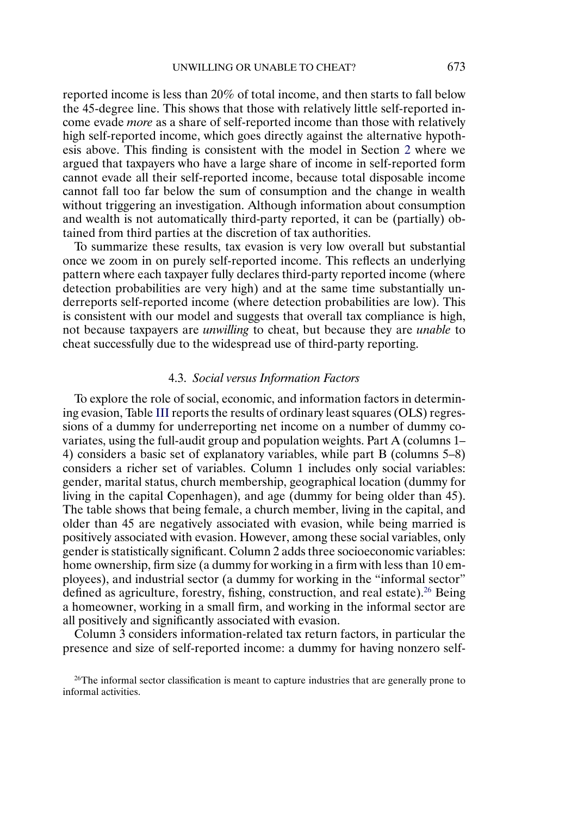reported income is less than 20% of total income, and then starts to fall below the 45-degree line. This shows that those with relatively little self-reported income evade *more* as a share of self-reported income than those with relatively high self-reported income, which goes directly against the alternative hypothesis above. This finding is consistent with the model in Section [2](#page-3-0) where we argued that taxpayers who have a large share of income in self-reported form cannot evade all their self-reported income, because total disposable income cannot fall too far below the sum of consumption and the change in wealth without triggering an investigation. Although information about consumption and wealth is not automatically third-party reported, it can be (partially) obtained from third parties at the discretion of tax authorities.

To summarize these results, tax evasion is very low overall but substantial once we zoom in on purely self-reported income. This reflects an underlying pattern where each taxpayer fully declares third-party reported income (where detection probabilities are very high) and at the same time substantially underreports self-reported income (where detection probabilities are low). This is consistent with our model and suggests that overall tax compliance is high, not because taxpayers are *unwilling* to cheat, but because they are *unable* to cheat successfully due to the widespread use of third-party reporting.

#### 4.3. *Social versus Information Factors*

To explore the role of social, economic, and information factors in determining evasion, Table [III](#page-23-0) reports the results of ordinary least squares (OLS) regressions of a dummy for underreporting net income on a number of dummy covariates, using the full-audit group and population weights. Part A (columns 1– 4) considers a basic set of explanatory variables, while part B (columns 5–8) considers a richer set of variables. Column 1 includes only social variables: gender, marital status, church membership, geographical location (dummy for living in the capital Copenhagen), and age (dummy for being older than 45). The table shows that being female, a church member, living in the capital, and older than 45 are negatively associated with evasion, while being married is positively associated with evasion. However, among these social variables, only gender is statistically significant. Column 2 adds three socioeconomic variables: home ownership, firm size (a dummy for working in a firm with less than 10 employees), and industrial sector (a dummy for working in the "informal sector" defined as agriculture, forestry, fishing, construction, and real estate).<sup>26</sup> Being a homeowner, working in a small firm, and working in the informal sector are all positively and significantly associated with evasion.

Column 3 considers information-related tax return factors, in particular the presence and size of self-reported income: a dummy for having nonzero self-

 $26$ The informal sector classification is meant to capture industries that are generally prone to informal activities.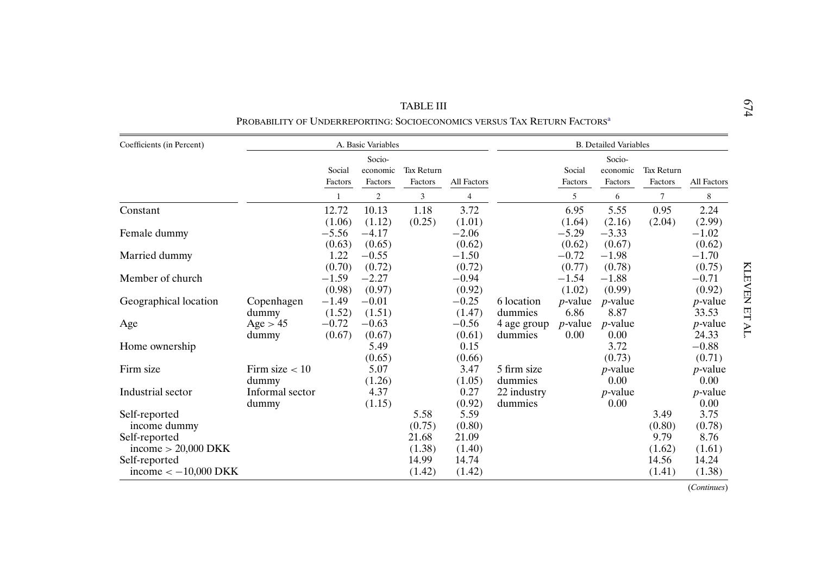<span id="page-23-0"></span>

|                                        | PROBABILITY OF UNDERREPORTING: SOCIOECONOMICS VERSUS TAX RETURN FACTORS <sup>a</sup> |                   |                                    | TABLE III                         |                   |                        |                        |                                    |                                   |                     | 14   |
|----------------------------------------|--------------------------------------------------------------------------------------|-------------------|------------------------------------|-----------------------------------|-------------------|------------------------|------------------------|------------------------------------|-----------------------------------|---------------------|------|
| Coefficients (in Percent)              |                                                                                      |                   | A. Basic Variables                 |                                   |                   |                        |                        | <b>B.</b> Detailed Variables       |                                   |                     |      |
|                                        |                                                                                      | Social<br>Factors | Socio-<br>economic<br>Factors<br>2 | <b>Tax Return</b><br>Factors<br>3 | All Factors<br>4  |                        | Social<br>Factors<br>5 | Socio-<br>economic<br>Factors<br>6 | <b>Tax Return</b><br>Factors<br>7 | All Factors<br>8    |      |
| Constant                               |                                                                                      | 12.72<br>(1.06)   | 10.13<br>(1.12)                    | 1.18<br>(0.25)                    | 3.72<br>(1.01)    |                        | 6.95<br>(1.64)         | 5.55<br>(2.16)                     | 0.95<br>(2.04)                    | 2.24<br>(2.99)      |      |
| Female dummy                           |                                                                                      | $-5.56$<br>(0.63) | $-4.17$<br>(0.65)                  |                                   | $-2.06$<br>(0.62) |                        | $-5.29$<br>(0.62)      | $-3.33$<br>(0.67)                  |                                   | $-1.02$<br>(0.62)   |      |
| Married dummy                          |                                                                                      | 1.22<br>(0.70)    | $-0.55$<br>(0.72)                  |                                   | $-1.50$<br>(0.72) |                        | $-0.72$<br>(0.77)      | $-1.98$<br>(0.78)                  |                                   | $-1.70$<br>(0.75)   | KL   |
| Member of church                       |                                                                                      | $-1.59$<br>(0.98) | $-2.27$<br>(0.97)                  |                                   | $-0.94$<br>(0.92) |                        | $-1.54$<br>(1.02)      | $-1.88$<br>(0.99)                  |                                   | $-0.71$<br>(0.92)   | EVEN |
| Geographical location                  | Copenhagen<br>dummy                                                                  | $-1.49$<br>(1.52) | $-0.01$<br>(1.51)                  |                                   | $-0.25$<br>(1.47) | 6 location<br>dummies  | $p$ -value<br>6.86     | <i>p</i> -value<br>8.87            |                                   | $p$ -value<br>33.53 | H    |
| Age                                    | Age > 45<br>dummy                                                                    | $-0.72$<br>(0.67) | $-0.63$<br>(0.67)                  |                                   | $-0.56$<br>(0.61) | 4 age group<br>dummies | $p$ -value<br>0.00     | $p$ -value<br>0.00                 |                                   | $p$ -value<br>24.33 | AL.  |
| Home ownership                         |                                                                                      |                   | 5.49<br>(0.65)                     |                                   | 0.15<br>(0.66)    |                        |                        | 3.72<br>(0.73)                     |                                   | $-0.88$<br>(0.71)   |      |
| Firm size                              | Firm size $< 10$<br>dummy                                                            |                   | 5.07<br>(1.26)                     |                                   | 3.47<br>(1.05)    | 5 firm size<br>dummies |                        | $p$ -value<br>0.00                 |                                   | $p$ -value<br>0.00  |      |
| Industrial sector                      | Informal sector<br>dummy                                                             |                   | 4.37<br>(1.15)                     |                                   | 0.27<br>(0.92)    | 22 industry<br>dummies |                        | <i>p</i> -value<br>0.00            |                                   | $p$ -value<br>0.00  |      |
| Self-reported<br>income dummy          |                                                                                      |                   |                                    | 5.58<br>(0.75)                    | 5.59<br>(0.80)    |                        |                        |                                    | 3.49<br>(0.80)                    | 3.75<br>(0.78)      |      |
| Self-reported<br>income $> 20,000$ DKK |                                                                                      |                   |                                    | 21.68<br>(1.38)                   | 21.09<br>(1.40)   |                        |                        |                                    | 9.79<br>(1.62)                    | 8.76<br>(1.61)      |      |
| Self-reported<br>income $<-10,000$ DKK |                                                                                      |                   |                                    | 14.99<br>(1.42)                   | 14.74<br>(1.42)   |                        |                        |                                    | 14.56<br>(1.41)                   | 14.24<br>(1.38)     |      |

| TABLE III                                                              |  |  |
|------------------------------------------------------------------------|--|--|
| Probability of Underreporting: Socioeconomics versus Tax Return Factor |  |  |

(*Continues*)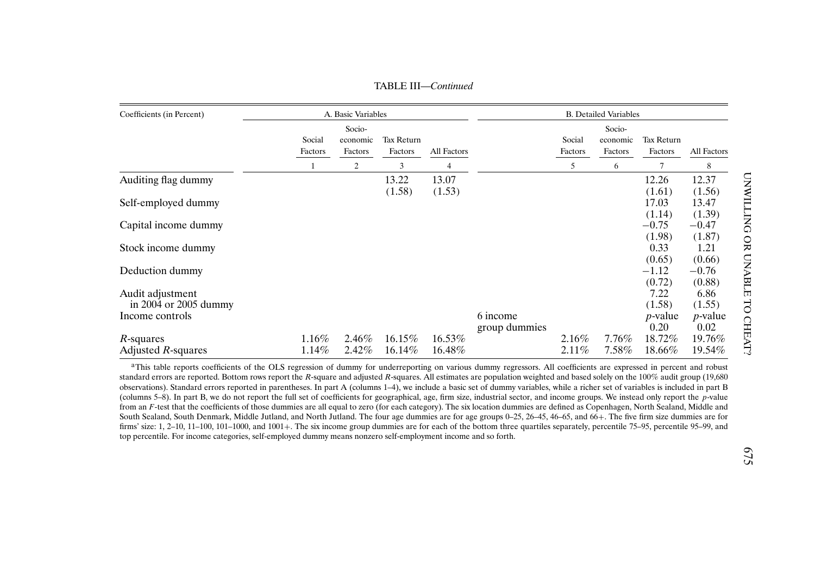<span id="page-24-0"></span>

| Coefficients (in Percent) |         | A. Basic Variables |                   |             |               |         | <b>B.</b> Detailed Variables |                 |             |
|---------------------------|---------|--------------------|-------------------|-------------|---------------|---------|------------------------------|-----------------|-------------|
|                           |         | Socio-             |                   |             |               |         | Socio-                       |                 |             |
|                           | Social  | economic           | <b>Tax Return</b> |             |               | Social  | economic                     | Tax Return      |             |
|                           | Factors | Factors            | Factors           | All Factors |               | Factors | Factors                      | Factors         | All Factors |
|                           |         | 2                  | 3                 | 4           |               | 5       | 6                            |                 | 8           |
| Auditing flag dummy       |         |                    | 13.22             | 13.07       |               |         |                              | 12.26           | 12.37       |
|                           |         |                    | (1.58)            | (1.53)      |               |         |                              | (1.61)          | (1.56)      |
| Self-employed dummy       |         |                    |                   |             |               |         |                              | 17.03           | 13.47       |
|                           |         |                    |                   |             |               |         |                              | (1.14)          | (1.39)      |
| Capital income dummy      |         |                    |                   |             |               |         |                              | $-0.75$         | $-0.47$     |
|                           |         |                    |                   |             |               |         |                              | (1.98)          | (1.87)      |
| Stock income dummy        |         |                    |                   |             |               |         |                              | 0.33            | 1.21        |
|                           |         |                    |                   |             |               |         |                              | (0.65)          | (0.66)      |
| Deduction dummy           |         |                    |                   |             |               |         |                              | $-1.12$         | $-0.76$     |
|                           |         |                    |                   |             |               |         |                              | (0.72)          | (0.88)      |
| Audit adjustment          |         |                    |                   |             |               |         |                              | 7.22            | 6.86        |
| in 2004 or 2005 dummy     |         |                    |                   |             |               |         |                              | (1.58)          | (1.55)      |
| Income controls           |         |                    |                   |             | 6 income      |         |                              | <i>p</i> -value | $p$ -value  |
|                           |         |                    |                   |             | group dummies |         |                              | 0.20            | 0.02        |
| R-squares                 | 1.16%   | 2.46%              | 16.15%            | 16.53%      |               | 2.16%   | $7.76\%$                     | 18.72%          | 19.76%      |
| Adjusted R-squares        | 1.14%   | 2.42%              | 16.14%            | 16.48%      |               | 2.11%   | 7.58%                        | 18.66%          | 19.54%      |

TABLE III—*Continued*

<sup>a</sup>This table reports coefficients of the OLS regression of dummy for underreporting on various dummy regressors. All coefficients are expressed in percent and robust standard errors are reported. Bottom rows repor<sup>t</sup> the <sup>R</sup>-square and adjusted <sup>R</sup>-squares. All estimates are population weighted and based solely on the 100% audit group (19,680 observations). Standard errors reported in parentheses. In par<sup>t</sup> A (columns 1–4), we include <sup>a</sup> basic set of dummy variables, while <sup>a</sup> richer set of variables is included in par<sup>t</sup> <sup>B</sup> (columns 5–8). In par<sup>t</sup> B, we do not repor<sup>t</sup> the full set of coefficients for geographical, age, firm size, industrial sector, and income groups. We instead only repor<sup>t</sup> the <sup>p</sup>-value from an F-test that the coefficients of those dummies are all equal to zero (for each category). The six location dummies are defined as Copenhagen, North Sealand, Middle and South Sealand, South Denmark, Middle Jutland, and North Jutland. The four age dummies are for age groups 0–25, 26–45, 46–65, and 66+. The five firm size dummies are for firms' size: 1, 2–10, 11–100, 101–1000, and 1001+. The six income group dummies are for each of the bottom three quartiles separately, percentile 75–95, percentile 95–99, and top percentile. For income categories, self-employed dummy means nonzero self-employment income and so forth.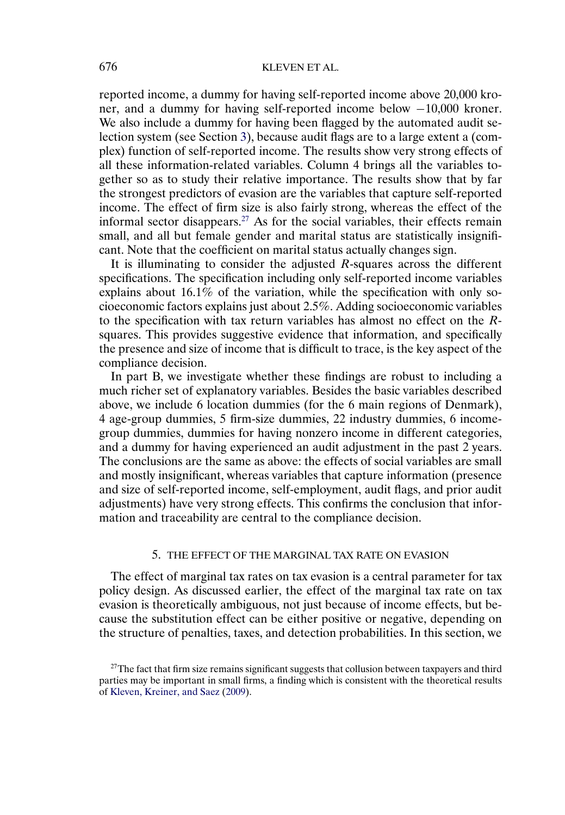<span id="page-25-0"></span>reported income, a dummy for having self-reported income above 20,000 kroner, and a dummy for having self-reported income below −10,000 kroner. We also include a dummy for having been flagged by the automated audit selection system (see Section [3\)](#page-7-0), because audit flags are to a large extent a (complex) function of self-reported income. The results show very strong effects of all these information-related variables. Column 4 brings all the variables together so as to study their relative importance. The results show that by far the strongest predictors of evasion are the variables that capture self-reported income. The effect of firm size is also fairly strong, whereas the effect of the informal sector disappears.<sup>27</sup> As for the social variables, their effects remain small, and all but female gender and marital status are statistically insignificant. Note that the coefficient on marital status actually changes sign.

It is illuminating to consider the adjusted  $R$ -squares across the different specifications. The specification including only self-reported income variables explains about 16.1% of the variation, while the specification with only socioeconomic factors explains just about 2.5%. Adding socioeconomic variables to the specification with tax return variables has almost no effect on the  $R$ squares. This provides suggestive evidence that information, and specifically the presence and size of income that is difficult to trace, is the key aspect of the compliance decision.

In part B, we investigate whether these findings are robust to including a much richer set of explanatory variables. Besides the basic variables described above, we include 6 location dummies (for the 6 main regions of Denmark), 4 age-group dummies, 5 firm-size dummies, 22 industry dummies, 6 incomegroup dummies, dummies for having nonzero income in different categories, and a dummy for having experienced an audit adjustment in the past 2 years. The conclusions are the same as above: the effects of social variables are small and mostly insignificant, whereas variables that capture information (presence and size of self-reported income, self-employment, audit flags, and prior audit adjustments) have very strong effects. This confirms the conclusion that information and traceability are central to the compliance decision.

#### 5. THE EFFECT OF THE MARGINAL TAX RATE ON EVASION

The effect of marginal tax rates on tax evasion is a central parameter for tax policy design. As discussed earlier, the effect of the marginal tax rate on tax evasion is theoretically ambiguous, not just because of income effects, but because the substitution effect can be either positive or negative, depending on the structure of penalties, taxes, and detection probabilities. In this section, we

 $27$ The fact that firm size remains significant suggests that collusion between taxpayers and third parties may be important in small firms, a finding which is consistent with the theoretical results of [Kleven, Kreiner, and Saez](#page-40-0) [\(2009\)](#page-40-0).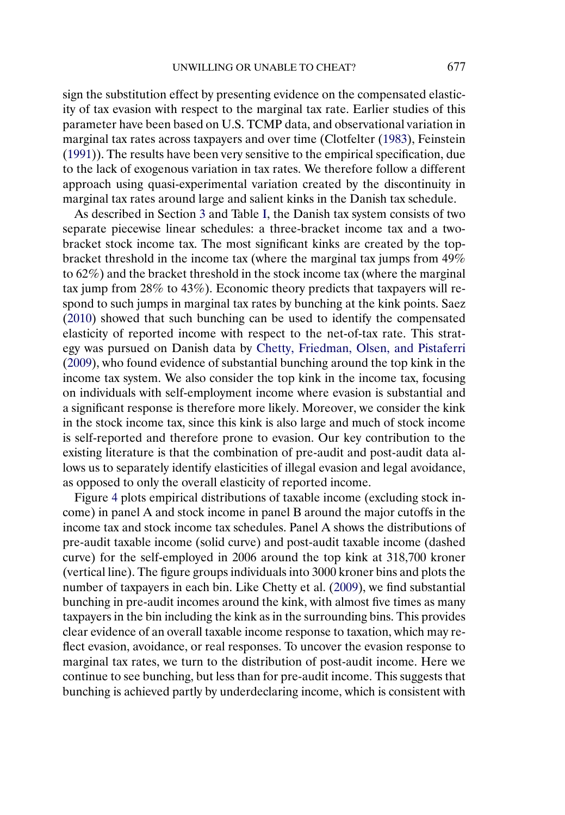<span id="page-26-0"></span>sign the substitution effect by presenting evidence on the compensated elasticity of tax evasion with respect to the marginal tax rate. Earlier studies of this parameter have been based on U.S. TCMP data, and observational variation in marginal tax rates across taxpayers and over time (Clotfelter [\(1983\)](#page-40-0), Feinstein [\(1991\)](#page-40-0)). The results have been very sensitive to the empirical specification, due to the lack of exogenous variation in tax rates. We therefore follow a different approach using quasi-experimental variation created by the discontinuity in marginal tax rates around large and salient kinks in the Danish tax schedule.

As described in Section [3](#page-7-0) and Table [I,](#page-9-0) the Danish tax system consists of two separate piecewise linear schedules: a three-bracket income tax and a twobracket stock income tax. The most significant kinks are created by the topbracket threshold in the income tax (where the marginal tax jumps from 49% to 62%) and the bracket threshold in the stock income tax (where the marginal tax jump from 28% to 43%). Economic theory predicts that taxpayers will respond to such jumps in marginal tax rates by bunching at the kink points. Saez [\(2010\)](#page-40-0) showed that such bunching can be used to identify the compensated elasticity of reported income with respect to the net-of-tax rate. This strategy was pursued on Danish data by [Chetty, Friedman, Olsen, and Pistaferri](#page-40-0) [\(2009\)](#page-40-0), who found evidence of substantial bunching around the top kink in the income tax system. We also consider the top kink in the income tax, focusing on individuals with self-employment income where evasion is substantial and a significant response is therefore more likely. Moreover, we consider the kink in the stock income tax, since this kink is also large and much of stock income is self-reported and therefore prone to evasion. Our key contribution to the existing literature is that the combination of pre-audit and post-audit data allows us to separately identify elasticities of illegal evasion and legal avoidance, as opposed to only the overall elasticity of reported income.

Figure [4](#page-28-0) plots empirical distributions of taxable income (excluding stock income) in panel A and stock income in panel B around the major cutoffs in the income tax and stock income tax schedules. Panel A shows the distributions of pre-audit taxable income (solid curve) and post-audit taxable income (dashed curve) for the self-employed in 2006 around the top kink at 318,700 kroner (vertical line). The figure groups individuals into 3000 kroner bins and plots the number of taxpayers in each bin. Like Chetty et al. [\(2009\)](#page-40-0), we find substantial bunching in pre-audit incomes around the kink, with almost five times as many taxpayers in the bin including the kink as in the surrounding bins. This provides clear evidence of an overall taxable income response to taxation, which may reflect evasion, avoidance, or real responses. To uncover the evasion response to marginal tax rates, we turn to the distribution of post-audit income. Here we continue to see bunching, but less than for pre-audit income. This suggests that bunching is achieved partly by underdeclaring income, which is consistent with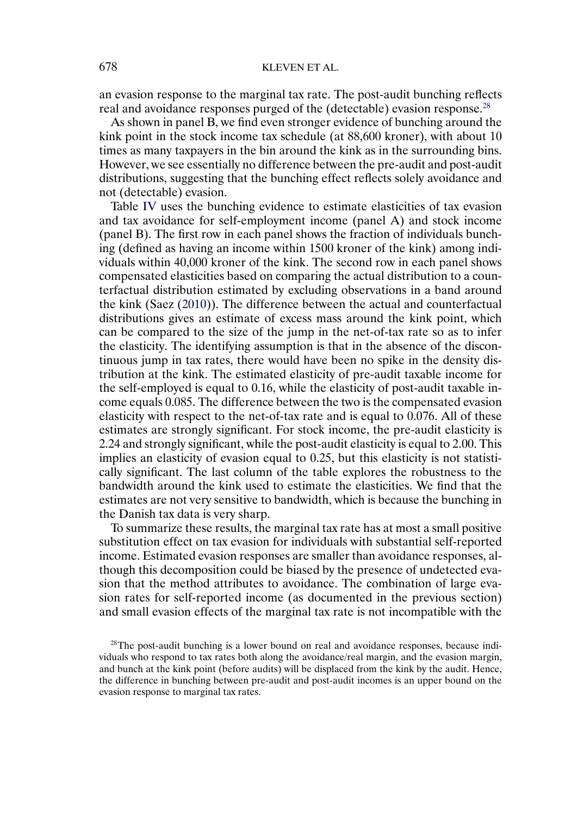an evasion response to the marginal tax rate. The post-audit bunching reflects real and avoidance responses purged of the (detectable) evasion response.<sup>28</sup>

As shown in panel B, we find even stronger evidence of bunching around the kink point in the stock income tax schedule (at 88,600 kroner), with about 10 times as many taxpayers in the bin around the kink as in the surrounding bins. However, we see essentially no difference between the pre-audit and post-audit distributions, suggesting that the bunching effect reflects solely avoidance and not (detectable) evasion.

Table [IV](#page-29-0) uses the bunching evidence to estimate elasticities of tax evasion and tax avoidance for self-employment income (panel A) and stock income (panel B). The first row in each panel shows the fraction of individuals bunching (defined as having an income within 1500 kroner of the kink) among individuals within 40,000 kroner of the kink. The second row in each panel shows compensated elasticities based on comparing the actual distribution to a counterfactual distribution estimated by excluding observations in a band around the kink (Saez [\(2010\)](#page-40-0)). The difference between the actual and counterfactual distributions gives an estimate of excess mass around the kink point, which can be compared to the size of the jump in the net-of-tax rate so as to infer the elasticity. The identifying assumption is that in the absence of the discontinuous jump in tax rates, there would have been no spike in the density distribution at the kink. The estimated elasticity of pre-audit taxable income for the self-employed is equal to 0.16, while the elasticity of post-audit taxable income equals 0.085. The difference between the two is the compensated evasion elasticity with respect to the net-of-tax rate and is equal to 0.076. All of these estimates are strongly significant. For stock income, the pre-audit elasticity is 2.24 and strongly significant, while the post-audit elasticity is equal to 2.00. This implies an elasticity of evasion equal to 0.25, but this elasticity is not statistically significant. The last column of the table explores the robustness to the bandwidth around the kink used to estimate the elasticities. We find that the estimates are not very sensitive to bandwidth, which is because the bunching in the Danish tax data is very sharp.

To summarize these results, the marginal tax rate has at most a small positive substitution effect on tax evasion for individuals with substantial self-reported income. Estimated evasion responses are smaller than avoidance responses, although this decomposition could be biased by the presence of undetected evasion that the method attributes to avoidance. The combination of large evasion rates for self-reported income (as documented in the previous section) and small evasion effects of the marginal tax rate is not incompatible with the

 $28$ The post-audit bunching is a lower bound on real and avoidance responses, because individuals who respond to tax rates both along the avoidance/real margin, and the evasion margin, and bunch at the kink point (before audits) will be displaced from the kink by the audit. Hence, the difference in bunching between pre-audit and post-audit incomes is an upper bound on the evasion response to marginal tax rates.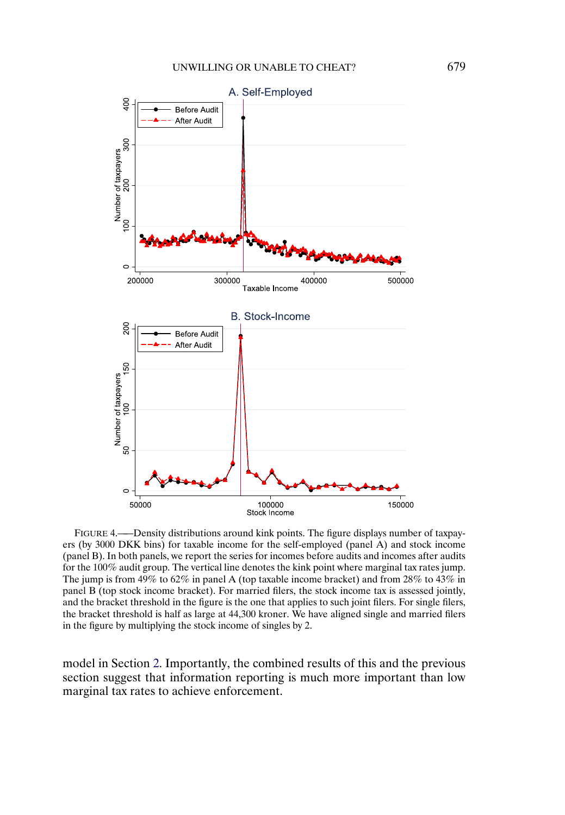<span id="page-28-0"></span>

FIGURE 4.——Density distributions around kink points. The figure displays number of taxpayers (by 3000 DKK bins) for taxable income for the self-employed (panel A) and stock income (panel B). In both panels, we report the series for incomes before audits and incomes after audits for the 100% audit group. The vertical line denotes the kink point where marginal tax rates jump. The jump is from 49% to 62% in panel A (top taxable income bracket) and from 28% to 43% in panel B (top stock income bracket). For married filers, the stock income tax is assessed jointly, and the bracket threshold in the figure is the one that applies to such joint filers. For single filers, the bracket threshold is half as large at 44,300 kroner. We have aligned single and married filers in the figure by multiplying the stock income of singles by 2.

model in Section [2.](#page-3-0) Importantly, the combined results of this and the previous section suggest that information reporting is much more important than low marginal tax rates to achieve enforcement.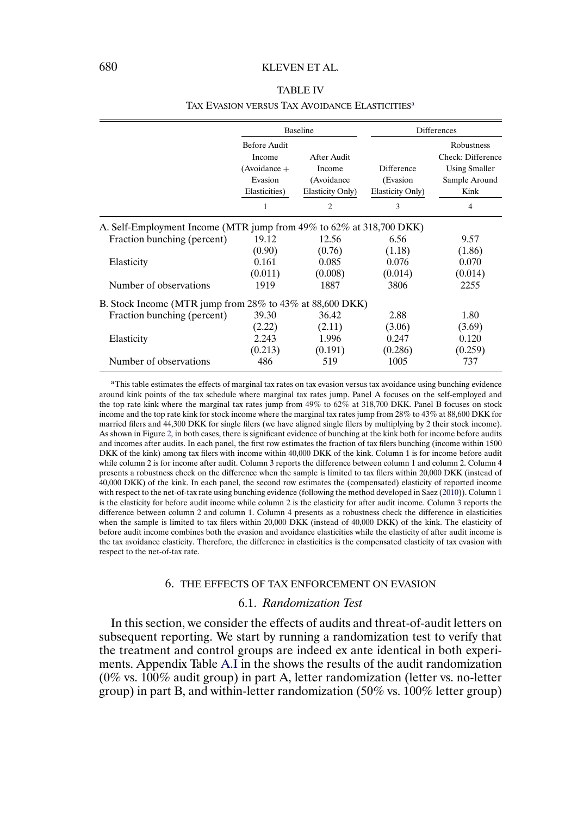### <span id="page-29-0"></span>680 KLEVEN ET AL.

#### TABLE IV

|                                                                     |                                            | <b>Baseline</b>                          |                                            | <b>Differences</b>                            |
|---------------------------------------------------------------------|--------------------------------------------|------------------------------------------|--------------------------------------------|-----------------------------------------------|
|                                                                     | <b>Before Audit</b><br>Income              | After Audit                              |                                            | Robustness<br>Check: Difference               |
|                                                                     | $(Avoidance +$<br>Evasion<br>Elasticities) | Income<br>(Avoidance<br>Elasticity Only) | Difference<br>(Evasion<br>Elasticity Only) | <b>Using Smaller</b><br>Sample Around<br>Kink |
|                                                                     | 1                                          | 2                                        | 3                                          | 4                                             |
| A. Self-Employment Income (MTR jump from 49% to 62% at 318,700 DKK) |                                            |                                          |                                            |                                               |
| Fraction bunching (percent)                                         | 19.12                                      | 12.56                                    | 6.56                                       | 9.57                                          |
|                                                                     | (0.90)                                     | (0.76)                                   | (1.18)                                     | (1.86)                                        |
| Elasticity                                                          | 0.161                                      | 0.085                                    | 0.076                                      | 0.070                                         |
|                                                                     | (0.011)                                    | (0.008)                                  | (0.014)                                    | (0.014)                                       |
| Number of observations                                              | 1919                                       | 1887                                     | 3806                                       | 2255                                          |
| B. Stock Income (MTR jump from $28\%$ to $43\%$ at 88,600 DKK)      |                                            |                                          |                                            |                                               |
| Fraction bunching (percent)                                         | 39.30                                      | 36.42                                    | 2.88                                       | 1.80                                          |
|                                                                     | (2.22)                                     | (2.11)                                   | (3.06)                                     | (3.69)                                        |
| Elasticity                                                          | 2.243                                      | 1.996                                    | 0.247                                      | 0.120                                         |
|                                                                     | (0.213)                                    | (0.191)                                  | (0.286)                                    | (0.259)                                       |
| Number of observations                                              | 486                                        | 519                                      | 1005                                       | 737                                           |

#### TAX EVASION VERSUS TAX AVOIDANCE ELASTICITIES<sup>a</sup>

<sup>a</sup>This table estimates the effects of marginal tax rates on tax evasion versus tax avoidance using bunching evidence around kink points of the tax schedule where marginal tax rates jump. Panel A focuses on the self-employed and the top rate kink where the marginal tax rates jump from 49% to 62% at 318,700 DKK. Panel B focuses on stock income and the top rate kink for stock income where the marginal tax rates jump from 28% to 43% at 88,600 DKK for married filers and 44,300 DKK for single filers (we have aligned single filers by multiplying by 2 their stock income). As shown in Figure [2,](#page-10-0) in both cases, there is significant evidence of bunching at the kink both for income before audits and incomes after audits. In each panel, the first row estimates the fraction of tax filers bunching (income within 1500 DKK of the kink) among tax filers with income within 40,000 DKK of the kink. Column 1 is for income before audit while column 2 is for income after audit. Column 3 reports the difference between column 1 and column 2. Column 4 presents a robustness check on the difference when the sample is limited to tax filers within 20,000 DKK (instead of 40,000 DKK) of the kink. In each panel, the second row estimates the (compensated) elasticity of reported income with respect to the net-of-tax rate using bunching evidence (following the method developed in Saez [\(2010\)](#page-40-0)). Column 1 is the elasticity for before audit income while column 2 is the elasticity for after audit income. Column 3 reports the difference between column 2 and column 1. Column 4 presents as a robustness check the difference in elasticities when the sample is limited to tax filers within 20,000 DKK (instead of 40,000 DKK) of the kink. The elasticity of before audit income combines both the evasion and avoidance elasticities while the elasticity of after audit income is the tax avoidance elasticity. Therefore, the difference in elasticities is the compensated elasticity of tax evasion with respect to the net-of-tax rate.

#### 6. THE EFFECTS OF TAX ENFORCEMENT ON EVASION

### 6.1. *Randomization Test*

In this section, we consider the effects of audits and threat-of-audit letters on subsequent reporting. We start by running a randomization test to verify that the treatment and control groups are indeed ex ante identical in both experiments. Appendix Table [A.I](#page-39-0) in the shows the results of the audit randomization (0% vs. 100% audit group) in part A, letter randomization (letter vs. no-letter group) in part B, and within-letter randomization (50% vs. 100% letter group)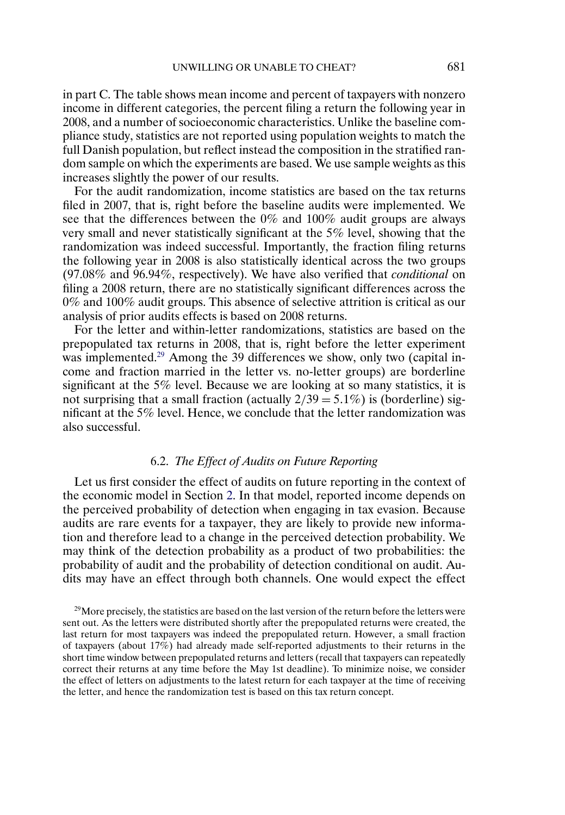<span id="page-30-0"></span>in part C. The table shows mean income and percent of taxpayers with nonzero income in different categories, the percent filing a return the following year in 2008, and a number of socioeconomic characteristics. Unlike the baseline compliance study, statistics are not reported using population weights to match the full Danish population, but reflect instead the composition in the stratified random sample on which the experiments are based. We use sample weights as this increases slightly the power of our results.

For the audit randomization, income statistics are based on the tax returns filed in 2007, that is, right before the baseline audits were implemented. We see that the differences between the 0% and 100% audit groups are always very small and never statistically significant at the 5% level, showing that the randomization was indeed successful. Importantly, the fraction filing returns the following year in 2008 is also statistically identical across the two groups (97.08% and 96.94%, respectively). We have also verified that *conditional* on filing a 2008 return, there are no statistically significant differences across the 0% and 100% audit groups. This absence of selective attrition is critical as our analysis of prior audits effects is based on 2008 returns.

For the letter and within-letter randomizations, statistics are based on the prepopulated tax returns in 2008, that is, right before the letter experiment was implemented.<sup>29</sup> Among the 39 differences we show, only two (capital income and fraction married in the letter vs. no-letter groups) are borderline significant at the 5% level. Because we are looking at so many statistics, it is not surprising that a small fraction (actually  $2/39 = 5.1\%$ ) is (borderline) significant at the 5% level. Hence, we conclude that the letter randomization was also successful.

# 6.2. *The Effect of Audits on Future Reporting*

Let us first consider the effect of audits on future reporting in the context of the economic model in Section [2.](#page-3-0) In that model, reported income depends on the perceived probability of detection when engaging in tax evasion. Because audits are rare events for a taxpayer, they are likely to provide new information and therefore lead to a change in the perceived detection probability. We may think of the detection probability as a product of two probabilities: the probability of audit and the probability of detection conditional on audit. Audits may have an effect through both channels. One would expect the effect

 $29$ More precisely, the statistics are based on the last version of the return before the letters were sent out. As the letters were distributed shortly after the prepopulated returns were created, the last return for most taxpayers was indeed the prepopulated return. However, a small fraction of taxpayers (about 17%) had already made self-reported adjustments to their returns in the short time window between prepopulated returns and letters (recall that taxpayers can repeatedly correct their returns at any time before the May 1st deadline). To minimize noise, we consider the effect of letters on adjustments to the latest return for each taxpayer at the time of receiving the letter, and hence the randomization test is based on this tax return concept.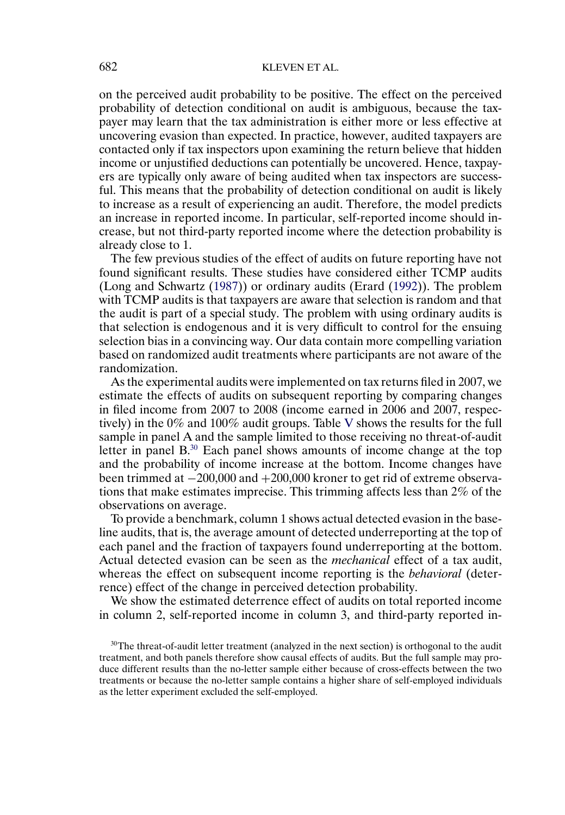on the perceived audit probability to be positive. The effect on the perceived probability of detection conditional on audit is ambiguous, because the taxpayer may learn that the tax administration is either more or less effective at uncovering evasion than expected. In practice, however, audited taxpayers are contacted only if tax inspectors upon examining the return believe that hidden income or unjustified deductions can potentially be uncovered. Hence, taxpayers are typically only aware of being audited when tax inspectors are successful. This means that the probability of detection conditional on audit is likely to increase as a result of experiencing an audit. Therefore, the model predicts an increase in reported income. In particular, self-reported income should increase, but not third-party reported income where the detection probability is already close to 1.

The few previous studies of the effect of audits on future reporting have not found significant results. These studies have considered either TCMP audits (Long and Schwartz [\(1987\)](#page-40-0)) or ordinary audits (Erard [\(1992\)](#page-40-0)). The problem with TCMP audits is that taxpayers are aware that selection is random and that the audit is part of a special study. The problem with using ordinary audits is that selection is endogenous and it is very difficult to control for the ensuing selection bias in a convincing way. Our data contain more compelling variation based on randomized audit treatments where participants are not aware of the randomization.

As the experimental audits were implemented on tax returns filed in 2007, we estimate the effects of audits on subsequent reporting by comparing changes in filed income from 2007 to 2008 (income earned in 2006 and 2007, respectively) in the 0% and 100% audit groups. Table [V](#page-32-0) shows the results for the full sample in panel A and the sample limited to those receiving no threat-of-audit letter in panel B.30 Each panel shows amounts of income change at the top and the probability of income increase at the bottom. Income changes have been trimmed at −200,000 and +200,000 kroner to get rid of extreme observations that make estimates imprecise. This trimming affects less than 2% of the observations on average.

To provide a benchmark, column 1 shows actual detected evasion in the baseline audits, that is, the average amount of detected underreporting at the top of each panel and the fraction of taxpayers found underreporting at the bottom. Actual detected evasion can be seen as the *mechanical* effect of a tax audit, whereas the effect on subsequent income reporting is the *behavioral* (deterrence) effect of the change in perceived detection probability.

We show the estimated deterrence effect of audits on total reported income in column 2, self-reported income in column 3, and third-party reported in-

<sup>&</sup>lt;sup>30</sup>The threat-of-audit letter treatment (analyzed in the next section) is orthogonal to the audit treatment, and both panels therefore show causal effects of audits. But the full sample may produce different results than the no-letter sample either because of cross-effects between the two treatments or because the no-letter sample contains a higher share of self-employed individuals as the letter experiment excluded the self-employed.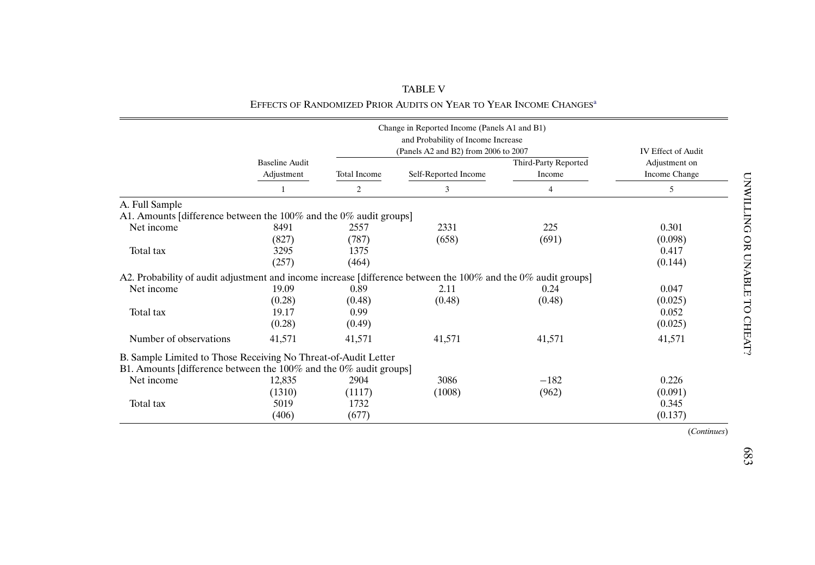<span id="page-32-0"></span>

|                                                                                                               |                                     |              | Change in Reported Income (Panels A1 and B1)<br>and Probability of Income Increase<br>(Panels A2 and B2) from 2006 to 2007 |                                | <b>IV Effect of Audit</b>      |
|---------------------------------------------------------------------------------------------------------------|-------------------------------------|--------------|----------------------------------------------------------------------------------------------------------------------------|--------------------------------|--------------------------------|
|                                                                                                               | <b>Baseline Audit</b><br>Adjustment | Total Income | Self-Reported Income                                                                                                       | Third-Party Reported<br>Income | Adjustment on<br>Income Change |
|                                                                                                               |                                     | 2            | 3                                                                                                                          | 4                              | 5                              |
| A. Full Sample                                                                                                |                                     |              |                                                                                                                            |                                |                                |
| A1. Amounts [difference between the 100% and the 0% audit groups]                                             |                                     |              |                                                                                                                            |                                |                                |
| Net income                                                                                                    | 8491                                | 2557         | 2331                                                                                                                       | 225                            | 0.301                          |
|                                                                                                               | (827)                               | (787)        | (658)                                                                                                                      | (691)                          | (0.098)                        |
| Total tax                                                                                                     | 3295                                | 1375         |                                                                                                                            |                                | 0.417                          |
|                                                                                                               | (257)                               | (464)        |                                                                                                                            |                                | (0.144)                        |
| A2. Probability of audit adjustment and income increase [difference between the 100% and the 0% audit groups] |                                     |              |                                                                                                                            |                                |                                |
| Net income                                                                                                    | 19.09                               | 0.89         | 2.11                                                                                                                       | 0.24                           | 0.047                          |
|                                                                                                               | (0.28)                              | (0.48)       | (0.48)                                                                                                                     | (0.48)                         | (0.025)                        |
| Total tax                                                                                                     | 19.17                               | 0.99         |                                                                                                                            |                                | 0.052                          |
|                                                                                                               | (0.28)                              | (0.49)       |                                                                                                                            |                                | (0.025)                        |
| Number of observations                                                                                        | 41,571                              | 41,571       | 41,571                                                                                                                     | 41,571                         | 41,571                         |
| B. Sample Limited to Those Receiving No Threat-of-Audit Letter                                                |                                     |              |                                                                                                                            |                                |                                |
| B1. Amounts [difference between the 100% and the 0% audit groups]                                             |                                     |              |                                                                                                                            |                                |                                |
| Net income                                                                                                    | 12,835                              | 2904         | 3086                                                                                                                       | $-182$                         | 0.226                          |
|                                                                                                               | (1310)                              | (1117)       | (1008)                                                                                                                     | (962)                          | (0.091)                        |
| Total tax                                                                                                     | 5019                                | 1732         |                                                                                                                            |                                | 0.345                          |
|                                                                                                               | (406)                               | (677)        |                                                                                                                            |                                | (0.137)                        |

# TABLE V EFFECTS OF RANDOMIZED PRIOR AUDITS ON YEAR TO YEAR INCOME CHANGES[a](#page-33-0)

(*Continues*)

683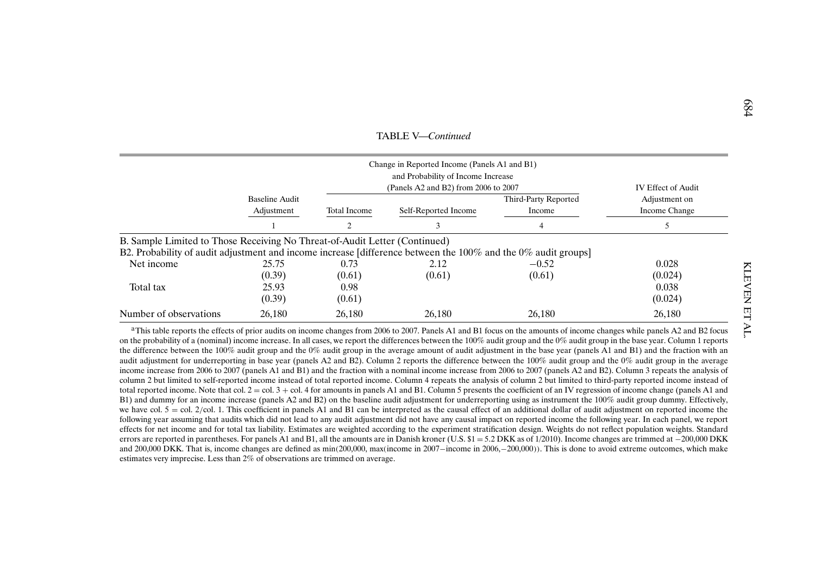<span id="page-33-0"></span>

|                                                                                                                                                                                             |                                     |                | Change in Reported Income (Panels A1 and B1)<br>and Probability of Income Increase |                                |                                |
|---------------------------------------------------------------------------------------------------------------------------------------------------------------------------------------------|-------------------------------------|----------------|------------------------------------------------------------------------------------|--------------------------------|--------------------------------|
|                                                                                                                                                                                             |                                     |                | (Panels A2 and B2) from 2006 to 2007                                               |                                | <b>IV Effect of Audit</b>      |
|                                                                                                                                                                                             | <b>Baseline Audit</b><br>Adjustment | Total Income   | Self-Reported Income                                                               | Third-Party Reported<br>Income | Adjustment on<br>Income Change |
|                                                                                                                                                                                             |                                     |                |                                                                                    |                                |                                |
| B. Sample Limited to Those Receiving No Threat-of-Audit Letter (Continued)<br>B2. Probability of audit adjustment and income increase [difference between the 100% and the 0% audit groups] |                                     |                |                                                                                    |                                |                                |
| Net income                                                                                                                                                                                  | 25.75<br>(0.39)                     | 0.73<br>(0.61) | 2.12<br>(0.61)                                                                     | $-0.52$<br>(0.61)              | 0.028<br>(0.024)               |
| Total tax                                                                                                                                                                                   | 25.93<br>(0.39)                     | 0.98<br>(0.61) |                                                                                    |                                | 0.038<br>(0.024)               |
| Number of observations                                                                                                                                                                      | 26,180                              | 26,180         | 26,180                                                                             | 26,180                         | 26,180                         |

on the probability of <sup>a</sup> (nominal) income increase. In all cases, we repor<sup>t</sup> the differences between the 100% audit group and the 0% audit group in the base year. Column 1 reports the difference between the 100% audit group and the 0% audit group in the average amount of audit adjustment in the base year (panels A1 and B1) and the fraction with an audit adjustment for underreporting in base year (panels A2 and B2). Column 2 reports the difference between the 100% audit group and the 0% audit group in the average income increase from 2006 to 2007 (panels A1 and B1) and the fraction with <sup>a</sup> nominal income increase from 2006 to 2007 (panels A2 and B2). Column 3 repeats the analysis of column 2 but limited to self-reported income instead of total reported income. Column 4 repeats the analysis of column 2 but limited to third-party reported income instead of total reported income. Note that col.  $2 = \text{col. } 3 + \text{col. } 4$  for amounts in panels A1 and B1. Column 5 presents the coefficient of an IV regression of income change (panels A1 and B1) and dummy for an income increase (panels A2 and B2) on the baseline audit adjustment for underreporting using as instrument the 100% audit group dummy. Effectively, we have col.  $5 =$  col. 2/col. 1. This coefficient in panels A1 and B1 can be interpreted as the causal effect of an additional dollar of audit adjustment on reported income the following year assuming that audits which did not lead to any audit adjustment did not have any causal impact on reported income the following year. In each panel, we repor<sup>t</sup> effects for net income and for total tax liability. Estimates are weighted according to the experiment stratification design. Weights do not reflect population weights. Standard errors are reported in parentheses. For panels A1 and B1, all the amounts are in Danish kroner (U.S. \$1 = 5.2 DKK as of 1/2010). Income changes are trimmed at  $-200,000$  DKK and 200,000 DKK. That is, income changes are defined as min(200,000, max(income in 2007–income in 2006,−200,000)). This is done to avoid extreme outcomes, which make estimates very imprecise. Less than 2% of observations are trimmed on average.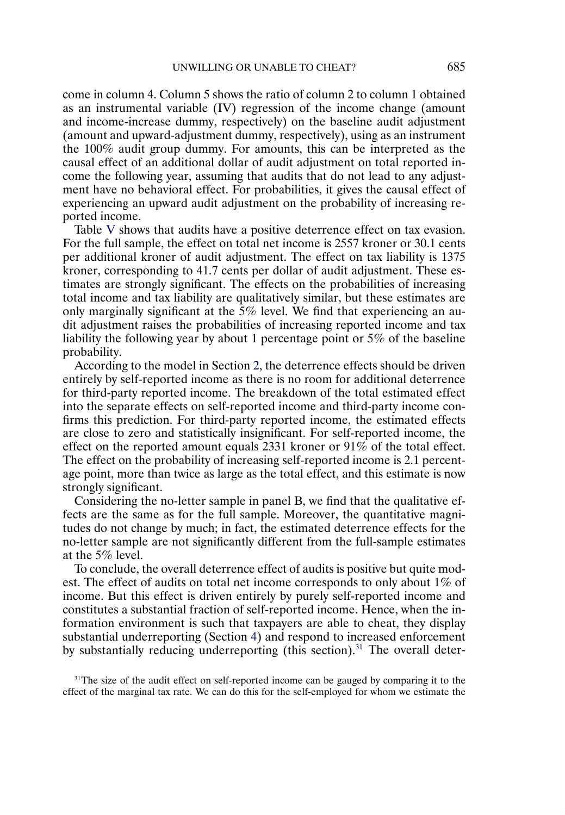come in column 4. Column 5 shows the ratio of column 2 to column 1 obtained as an instrumental variable (IV) regression of the income change (amount and income-increase dummy, respectively) on the baseline audit adjustment (amount and upward-adjustment dummy, respectively), using as an instrument the 100% audit group dummy. For amounts, this can be interpreted as the causal effect of an additional dollar of audit adjustment on total reported income the following year, assuming that audits that do not lead to any adjustment have no behavioral effect. For probabilities, it gives the causal effect of experiencing an upward audit adjustment on the probability of increasing reported income.

Table [V](#page-32-0) shows that audits have a positive deterrence effect on tax evasion. For the full sample, the effect on total net income is 2557 kroner or 30.1 cents per additional kroner of audit adjustment. The effect on tax liability is 1375 kroner, corresponding to 41.7 cents per dollar of audit adjustment. These estimates are strongly significant. The effects on the probabilities of increasing total income and tax liability are qualitatively similar, but these estimates are only marginally significant at the 5% level. We find that experiencing an audit adjustment raises the probabilities of increasing reported income and tax liability the following year by about 1 percentage point or 5% of the baseline probability.

According to the model in Section [2,](#page-3-0) the deterrence effects should be driven entirely by self-reported income as there is no room for additional deterrence for third-party reported income. The breakdown of the total estimated effect into the separate effects on self-reported income and third-party income confirms this prediction. For third-party reported income, the estimated effects are close to zero and statistically insignificant. For self-reported income, the effect on the reported amount equals 2331 kroner or  $91\%$  of the total effect. The effect on the probability of increasing self-reported income is 2.1 percentage point, more than twice as large as the total effect, and this estimate is now strongly significant.

Considering the no-letter sample in panel B, we find that the qualitative effects are the same as for the full sample. Moreover, the quantitative magnitudes do not change by much; in fact, the estimated deterrence effects for the no-letter sample are not significantly different from the full-sample estimates at the 5% level.

To conclude, the overall deterrence effect of audits is positive but quite modest. The effect of audits on total net income corresponds to only about  $1\%$  of income. But this effect is driven entirely by purely self-reported income and constitutes a substantial fraction of self-reported income. Hence, when the information environment is such that taxpayers are able to cheat, they display substantial underreporting (Section [4\)](#page-13-0) and respond to increased enforcement by substantially reducing underreporting (this section).<sup>31</sup> The overall deter-

<sup>31</sup>The size of the audit effect on self-reported income can be gauged by comparing it to the effect of the marginal tax rate. We can do this for the self-employed for whom we estimate the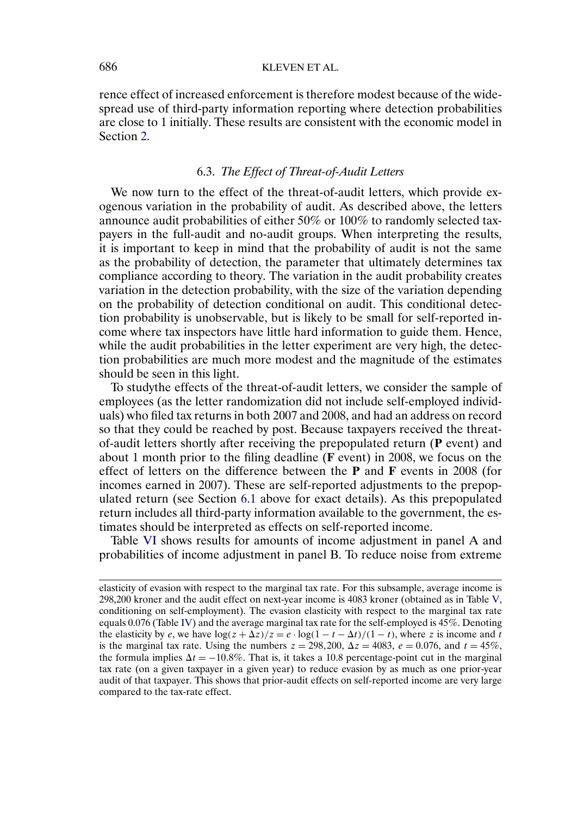## 686 KLEVEN ET AL.

rence effect of increased enforcement is therefore modest because of the widespread use of third-party information reporting where detection probabilities are close to 1 initially. These results are consistent with the economic model in Section [2.](#page-3-0)

# 6.3. *The Effect of Threat-of-Audit Letters*

We now turn to the effect of the threat-of-audit letters, which provide exogenous variation in the probability of audit. As described above, the letters announce audit probabilities of either 50% or 100% to randomly selected taxpayers in the full-audit and no-audit groups. When interpreting the results, it is important to keep in mind that the probability of audit is not the same as the probability of detection, the parameter that ultimately determines tax compliance according to theory. The variation in the audit probability creates variation in the detection probability, with the size of the variation depending on the probability of detection conditional on audit. This conditional detection probability is unobservable, but is likely to be small for self-reported income where tax inspectors have little hard information to guide them. Hence, while the audit probabilities in the letter experiment are very high, the detection probabilities are much more modest and the magnitude of the estimates should be seen in this light.

To studythe effects of the threat-of-audit letters, we consider the sample of employees (as the letter randomization did not include self-employed individuals) who filed tax returns in both 2007 and 2008, and had an address on record so that they could be reached by post. Because taxpayers received the threatof-audit letters shortly after receiving the prepopulated return (**P** event) and about 1 month prior to the filing deadline (**F** event) in 2008, we focus on the effect of letters on the difference between the **P** and **F** events in 2008 (for incomes earned in 2007). These are self-reported adjustments to the prepopulated return (see Section [6.1](#page-29-0) above for exact details). As this prepopulated return includes all third-party information available to the government, the estimates should be interpreted as effects on self-reported income.

Table [VI](#page-36-0) shows results for amounts of income adjustment in panel A and probabilities of income adjustment in panel B. To reduce noise from extreme

elasticity of evasion with respect to the marginal tax rate. For this subsample, average income is 298,200 kroner and the audit effect on next-year income is 4083 kroner (obtained as in Table [V,](#page-32-0) conditioning on self-employment). The evasion elasticity with respect to the marginal tax rate equals 0.076 (Table [IV\)](#page-29-0) and the average marginal tax rate for the self-employed is 45%. Denoting the elasticity by e, we have  $\log(z + \Delta z)/z = e \cdot \log(1 - t - \Delta t)/(1 - t)$ , where z is income and t is the marginal tax rate. Using the numbers  $z = 298,200, \Delta z = 4083, e = 0.076,$  and  $t = 45\%$ , the formula implies  $\Delta t = -10.8\%$ . That is, it takes a 10.8 percentage-point cut in the marginal tax rate (on a given taxpayer in a given year) to reduce evasion by as much as one prior-year audit of that taxpayer. This shows that prior-audit effects on self-reported income are very large compared to the tax-rate effect.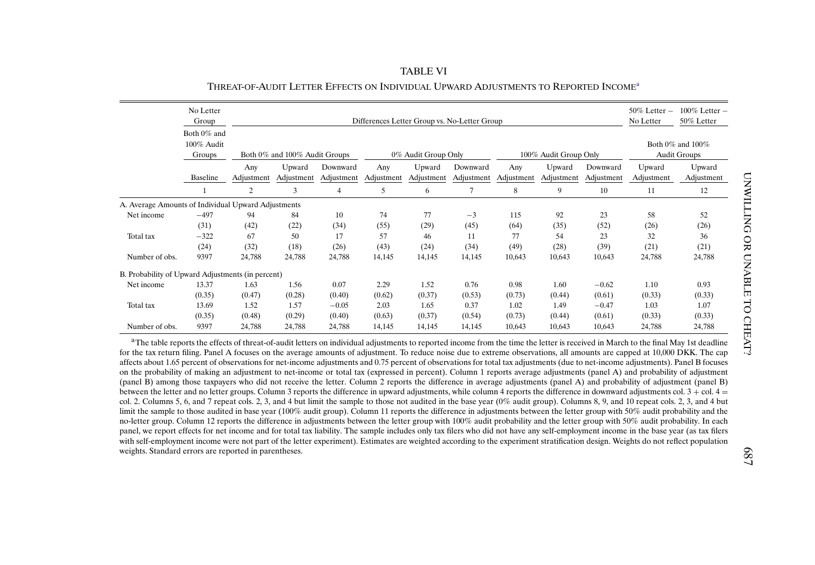<span id="page-36-0"></span>

|                                                     | No Letter<br>Group                  |                   |                               |                        |                   |                      | Differences Letter Group vs. No-Letter Group |                   |                       |                        | $50\%$ Letter $-$<br>No Letter          | $100\%$ Letter $-$<br>50% Letter |
|-----------------------------------------------------|-------------------------------------|-------------------|-------------------------------|------------------------|-------------------|----------------------|----------------------------------------------|-------------------|-----------------------|------------------------|-----------------------------------------|----------------------------------|
|                                                     | Both 0% and<br>100% Audit<br>Groups |                   | Both 0% and 100% Audit Groups |                        |                   | 0% Audit Group Only  |                                              |                   | 100% Audit Group Only |                        | Both 0% and 100%<br><b>Audit Groups</b> |                                  |
|                                                     | Baseline                            | Any<br>Adjustment | Upward<br>Adjustment          | Downward<br>Adjustment | Any<br>Adjustment | Upward<br>Adjustment | Downward<br>Adjustment                       | Any<br>Adjustment | Upward<br>Adjustment  | Downward<br>Adjustment | Upward<br>Adjustment                    | Upward<br>Adjustment             |
|                                                     |                                     | $\overline{2}$    | 3                             | 4                      | 5                 | 6                    | 7                                            | 8                 | 9                     | 10                     | 11                                      | 12                               |
| A. Average Amounts of Individual Upward Adjustments |                                     |                   |                               |                        |                   |                      |                                              |                   |                       |                        |                                         |                                  |
| Net income                                          | $-497$                              | 94                | 84                            | 10                     | 74                | 77                   | $-3$                                         | 115               | 92                    | 23                     | 58                                      | 52                               |
|                                                     | (31)                                | (42)              | (22)                          | (34)                   | (55)              | (29)                 | (45)                                         | (64)              | (35)                  | (52)                   | (26)                                    | (26)                             |
| Total tax                                           | $-322$                              | 67                | 50                            | 17                     | 57                | 46                   | 11                                           | 77                | 54                    | 23                     | 32                                      | 36                               |
|                                                     | (24)                                | (32)              | (18)                          | (26)                   | (43)              | (24)                 | (34)                                         | (49)              | (28)                  | (39)                   | (21)                                    | (21)                             |
| Number of obs.                                      | 9397                                | 24,788            | 24,788                        | 24,788                 | 14,145            | 14,145               | 14,145                                       | 10,643            | 10,643                | 10,643                 | 24,788                                  | 24,788                           |
| B. Probability of Upward Adjustments (in percent)   |                                     |                   |                               |                        |                   |                      |                                              |                   |                       |                        |                                         |                                  |
| Net income                                          | 13.37                               | 1.63              | 1.56                          | 0.07                   | 2.29              | 1.52                 | 0.76                                         | 0.98              | 1.60                  | $-0.62$                | 1.10                                    | 0.93                             |
|                                                     | (0.35)                              | (0.47)            | (0.28)                        | (0.40)                 | (0.62)            | (0.37)               | (0.53)                                       | (0.73)            | (0.44)                | (0.61)                 | (0.33)                                  | (0.33)                           |
| Total tax                                           | 13.69                               | 1.52              | 1.57                          | $-0.05$                | 2.03              | 1.65                 | 0.37                                         | 1.02              | 1.49                  | $-0.47$                | 1.03                                    | 1.07                             |
|                                                     | (0.35)                              | (0.48)            | (0.29)                        | (0.40)                 | (0.63)            | (0.37)               | (0.54)                                       | (0.73)            | (0.44)                | (0.61)                 | (0.33)                                  | (0.33)                           |
| Number of obs.                                      | 9397                                | 24,788            | 24,788                        | 24,788                 | 14,145            | 14,145               | 14,145                                       | 10,643            | 10,643                | 10,643                 | 24,788                                  | 24,788                           |

## TABLE VITHREAT-OF-AUDIT LETTER EFFECTS ON INDIVIDUAL UPWARD ADJUSTMENTS TO REPORTED INCOMEa

<sup>a</sup>The table reports the effects of threat-of-audit letters on individual adjustments to reported income from the time the letter is received in March to the final May 1st deadline for the tax return filing. Panel A focuses on the average amounts of adjustment. To reduce noise due to extreme observations, all amounts are capped at 10,000 DKK. The cap affects about 1.65 percen<sup>t</sup> of observations for net-income adjustments and 0.75 percen<sup>t</sup> of observations for total tax adjustments (due to net-income adjustments). Panel <sup>B</sup> focuses on the probability of making an adjustment to net-income or total tax (expressed in percent). Column 1 reports average adjustments (panel A) and probability of adjustment (panel B) among those taxpayers who did not receive the letter. Column 2 reports the difference in average adjustments (panel A) and probability of adjustment (panel B) between the letter and no letter groups. Column 3 reports the difference in upward adjustments, while column 4 reports the difference in downward adjustments col.  $3 + \text{col. } 4 =$ col. 2. Columns 5, 6, and 7 repeat cols. 2, 3, and 4 but limit the sample to those not audited in the base year (0% audit group). Columns 8, 9, and 10 repeat cols. 2, 3, and 4 but limit the sample to those audited in base year (100% audit group). Column 11 reports the difference in adjustments between the letter group with 50% audit probability and the no-letter group. Column 12 reports the difference in adjustments between the letter group with 100% audit probability and the letter group with 50% audit probability. In each panel, we repor<sup>t</sup> effects for net income and for total tax liability. The sample includes only tax filers who did not have any self-employment income in the base year (as tax filers with self-employment income were not part of the letter experiment). Estimates are weighted according to the experiment stratification design. Weights do not reflect population weights. Standard errors are reported in parentheses.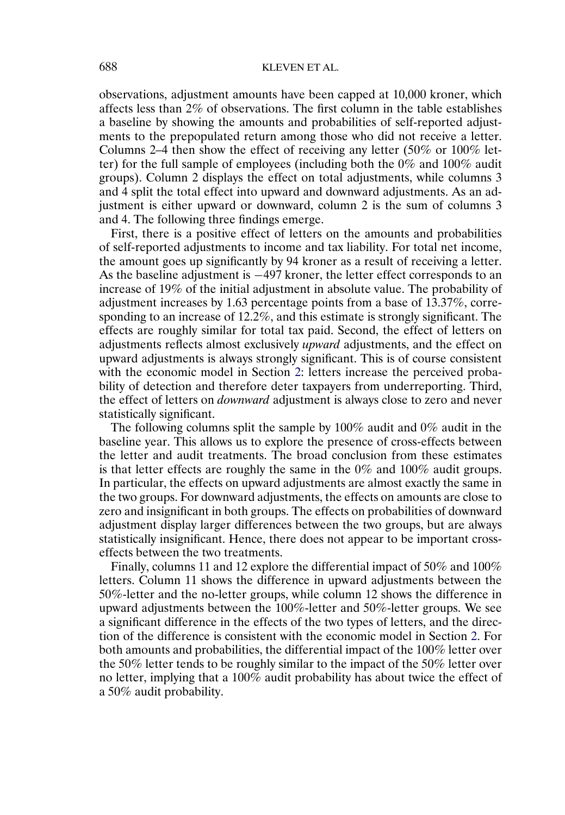observations, adjustment amounts have been capped at 10,000 kroner, which affects less than 2% of observations. The first column in the table establishes a baseline by showing the amounts and probabilities of self-reported adjustments to the prepopulated return among those who did not receive a letter. Columns 2–4 then show the effect of receiving any letter (50% or 100% letter) for the full sample of employees (including both the 0% and 100% audit groups). Column 2 displays the effect on total adjustments, while columns 3 and 4 split the total effect into upward and downward adjustments. As an adjustment is either upward or downward, column 2 is the sum of columns 3 and 4. The following three findings emerge.

First, there is a positive effect of letters on the amounts and probabilities of self-reported adjustments to income and tax liability. For total net income, the amount goes up significantly by 94 kroner as a result of receiving a letter. As the baseline adjustment is −497 kroner, the letter effect corresponds to an increase of 19% of the initial adjustment in absolute value. The probability of adjustment increases by 1.63 percentage points from a base of 13.37%, corresponding to an increase of 12.2%, and this estimate is strongly significant. The effects are roughly similar for total tax paid. Second, the effect of letters on adjustments reflects almost exclusively *upward* adjustments, and the effect on upward adjustments is always strongly significant. This is of course consistent with the economic model in Section [2:](#page-3-0) letters increase the perceived probability of detection and therefore deter taxpayers from underreporting. Third, the effect of letters on *downward* adjustment is always close to zero and never statistically significant.

The following columns split the sample by 100% audit and 0% audit in the baseline year. This allows us to explore the presence of cross-effects between the letter and audit treatments. The broad conclusion from these estimates is that letter effects are roughly the same in the 0% and 100% audit groups. In particular, the effects on upward adjustments are almost exactly the same in the two groups. For downward adjustments, the effects on amounts are close to zero and insignificant in both groups. The effects on probabilities of downward adjustment display larger differences between the two groups, but are always statistically insignificant. Hence, there does not appear to be important crosseffects between the two treatments.

Finally, columns 11 and 12 explore the differential impact of 50% and 100% letters. Column 11 shows the difference in upward adjustments between the 50%-letter and the no-letter groups, while column 12 shows the difference in upward adjustments between the 100%-letter and 50%-letter groups. We see a significant difference in the effects of the two types of letters, and the direction of the difference is consistent with the economic model in Section [2.](#page-3-0) For both amounts and probabilities, the differential impact of the 100% letter over the 50% letter tends to be roughly similar to the impact of the 50% letter over no letter, implying that a 100% audit probability has about twice the effect of a 50% audit probability.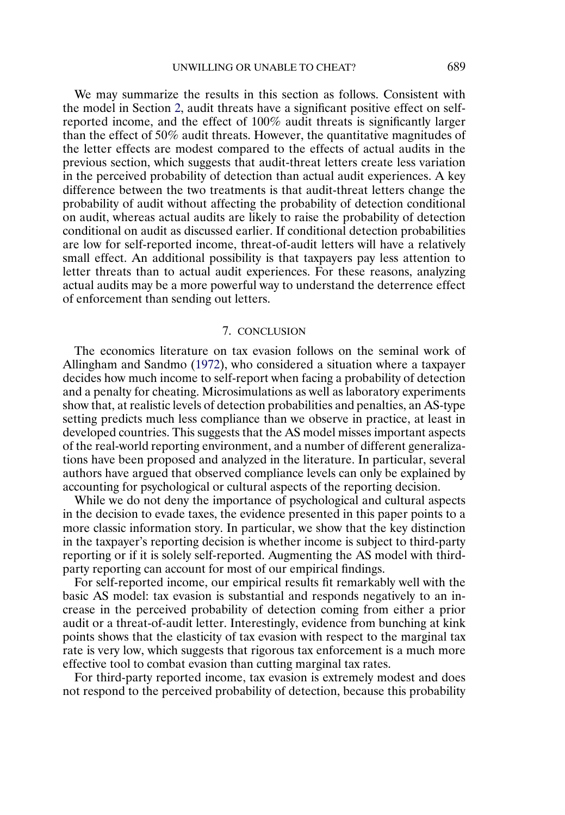<span id="page-38-0"></span>We may summarize the results in this section as follows. Consistent with the model in Section [2,](#page-3-0) audit threats have a significant positive effect on selfreported income, and the effect of 100% audit threats is significantly larger than the effect of 50% audit threats. However, the quantitative magnitudes of the letter effects are modest compared to the effects of actual audits in the previous section, which suggests that audit-threat letters create less variation in the perceived probability of detection than actual audit experiences. A key difference between the two treatments is that audit-threat letters change the probability of audit without affecting the probability of detection conditional on audit, whereas actual audits are likely to raise the probability of detection conditional on audit as discussed earlier. If conditional detection probabilities are low for self-reported income, threat-of-audit letters will have a relatively small effect. An additional possibility is that taxpayers pay less attention to letter threats than to actual audit experiences. For these reasons, analyzing actual audits may be a more powerful way to understand the deterrence effect of enforcement than sending out letters.

### 7. CONCLUSION

The economics literature on tax evasion follows on the seminal work of Allingham and Sandmo [\(1972\)](#page-40-0), who considered a situation where a taxpayer decides how much income to self-report when facing a probability of detection and a penalty for cheating. Microsimulations as well as laboratory experiments show that, at realistic levels of detection probabilities and penalties, an AS-type setting predicts much less compliance than we observe in practice, at least in developed countries. This suggests that the AS model misses important aspects of the real-world reporting environment, and a number of different generalizations have been proposed and analyzed in the literature. In particular, several authors have argued that observed compliance levels can only be explained by accounting for psychological or cultural aspects of the reporting decision.

While we do not deny the importance of psychological and cultural aspects in the decision to evade taxes, the evidence presented in this paper points to a more classic information story. In particular, we show that the key distinction in the taxpayer's reporting decision is whether income is subject to third-party reporting or if it is solely self-reported. Augmenting the AS model with thirdparty reporting can account for most of our empirical findings.

For self-reported income, our empirical results fit remarkably well with the basic AS model: tax evasion is substantial and responds negatively to an increase in the perceived probability of detection coming from either a prior audit or a threat-of-audit letter. Interestingly, evidence from bunching at kink points shows that the elasticity of tax evasion with respect to the marginal tax rate is very low, which suggests that rigorous tax enforcement is a much more effective tool to combat evasion than cutting marginal tax rates.

For third-party reported income, tax evasion is extremely modest and does not respond to the perceived probability of detection, because this probability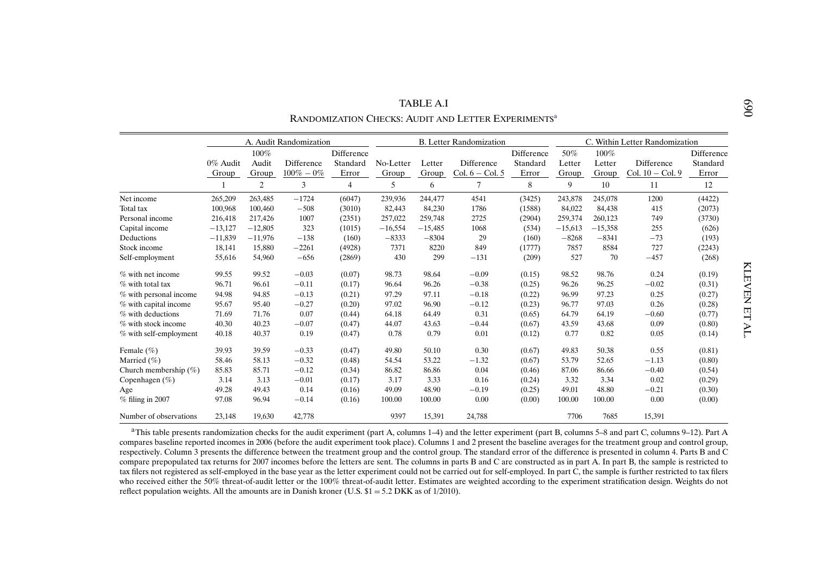<span id="page-39-0"></span>

|                                                 |                               |                               |                             |                                 |                              | TABLE A.I                    |                                                                 |                                 |                              |                              |                                  |                                 | ○<br>Š      |
|-------------------------------------------------|-------------------------------|-------------------------------|-----------------------------|---------------------------------|------------------------------|------------------------------|-----------------------------------------------------------------|---------------------------------|------------------------------|------------------------------|----------------------------------|---------------------------------|-------------|
|                                                 |                               |                               |                             |                                 |                              |                              | RANDOMIZATION CHECKS: AUDIT AND LETTER EXPERIMENTS <sup>a</sup> |                                 |                              |                              |                                  |                                 |             |
|                                                 |                               |                               | A. Audit Randomization      |                                 |                              |                              | <b>B.</b> Letter Randomization                                  |                                 |                              |                              | C. Within Letter Randomization   |                                 |             |
|                                                 | 0% Audit<br>Group             | 100%<br>Audit<br>Group        | Difference<br>$100\% - 0\%$ | Difference<br>Standard<br>Error | No-Letter<br>Group           | Letter<br>Group              | Difference<br>Col. $6 -$ Col. $5$                               | Difference<br>Standard<br>Error | 50%<br>Letter<br>Group       | 100%<br>Letter<br>Group      | Difference<br>$Col. 10 - Col. 9$ | Difference<br>Standard<br>Error |             |
|                                                 |                               | 2                             | 3                           | $\overline{4}$                  | 5                            | 6                            | 7                                                               | 8                               | 9                            | 10                           | 11                               | 12                              |             |
| Net income<br>Total tax<br>Personal income      | 265,209<br>100,968<br>216,418 | 263,485<br>100,460<br>217,426 | $-1724$<br>$-508$<br>1007   | (6047)<br>(3010)<br>(2351)      | 239,936<br>82,443<br>257,022 | 244,477<br>84,230<br>259,748 | 4541<br>1786<br>2725                                            | (3425)<br>(1588)<br>(2904)      | 243,878<br>84,022<br>259,374 | 245,078<br>84,438<br>260,123 | 1200<br>415<br>749               | (4422)<br>(2073)<br>(3730)      |             |
| Capital income<br>Deductions                    | $-13,127$<br>$-11,839$        | $-12,805$<br>$-11,976$        | 323<br>$-138$               | (1015)<br>(160)                 | $-16,554$<br>$-8333$         | $-15,485$<br>$-8304$         | 1068<br>29                                                      | (534)<br>(160)                  | $-15,613$<br>$-8268$         | $-15,358$<br>$-8341$         | 255<br>$-73$                     | (626)<br>(193)                  |             |
| Stock income<br>Self-employment                 | 18,141<br>55,616              | 15,880<br>54,960              | $-2261$<br>$-656$           | (4928)<br>(2869)                | 7371<br>430                  | 8220<br>299                  | 849<br>$-131$                                                   | (1777)<br>(209)                 | 7857<br>527                  | 8584<br>70                   | 727<br>$-457$                    | (2243)<br>(268)                 |             |
| $%$ with net income<br>% with total tax         | 99.55<br>96.71                | 99.52<br>96.61                | $-0.03$<br>$-0.11$          | (0.07)<br>(0.17)                | 98.73<br>96.64               | 98.64<br>96.26               | $-0.09$<br>$-0.38$                                              | (0.15)<br>(0.25)                | 98.52<br>96.26               | 98.76<br>96.25               | 0.24<br>$-0.02$                  | (0.19)<br>(0.31)                | Ħ<br>口<br>≺ |
| % with personal income<br>% with capital income | 94.98<br>95.67                | 94.85<br>95.40                | $-0.13$<br>$-0.27$          | (0.21)<br>(0.20)                | 97.29<br>97.02               | 97.11<br>96.90               | $-0.18$<br>$-0.12$                                              | (0.22)<br>(0.23)                | 96.99<br>96.77               | 97.23<br>97.03               | 0.25<br>0.26                     | (0.27)<br>(0.28)                | 罗           |
| % with deductions<br>% with stock income        | 71.69<br>40.30                | 71.76<br>40.23                | 0.07<br>$-0.07$             | (0.44)<br>(0.47)                | 64.18<br>44.07               | 64.49<br>43.63               | 0.31<br>$-0.44$                                                 | (0.65)<br>(0.67)                | 64.79<br>43.59               | 64.19<br>43.68               | $-0.60$<br>0.09                  | (0.77)<br>(0.80)                | H<br>P      |
| % with self-employment                          | 40.18                         | 40.37                         | 0.19                        | (0.47)                          | 0.78                         | 0.79                         | 0.01                                                            | (0.12)                          | 0.77                         | 0.82                         | 0.05                             | (0.14)                          |             |
| Female $(\% )$<br>Married (%)                   | 39.93<br>58.46                | 39.59<br>58.13                | $-0.33$<br>$-0.32$          | (0.47)<br>(0.48)                | 49.80<br>54.54               | 50.10<br>53.22               | 0.30<br>$-1.32$                                                 | (0.67)<br>(0.67)                | 49.83<br>53.79               | 50.38<br>52.65               | 0.55<br>$-1.13$                  | (0.81)<br>(0.80)                |             |
| Church membership $(\%)$<br>Copenhagen $(\% )$  | 85.83<br>3.14                 | 85.71<br>3.13<br>49.43        | $-0.12$<br>$-0.01$<br>0.14  | (0.34)<br>(0.17)                | 86.82<br>3.17<br>49.09       | 86.86<br>3.33<br>48.90       | 0.04<br>0.16<br>$-0.19$                                         | (0.46)<br>(0.24)                | 87.06<br>3.32<br>49.01       | 86.66<br>3.34<br>48.80       | $-0.40$<br>0.02                  | (0.54)<br>(0.29)                |             |
| Age<br>$%$ filing in 2007                       | 49.28<br>97.08                | 96.94                         | $-0.14$                     | (0.16)<br>(0.16)                | 100.00                       | 100.00                       | 0.00                                                            | (0.25)<br>(0.00)                | 100.00                       | 100.00                       | $-0.21$<br>0.00                  | (0.30)<br>(0.00)                |             |
| Number of observations                          | 23.148                        | 19.630                        | 42,778                      |                                 | 9397                         | 15.391                       | 24.788                                                          |                                 | 7706                         | 7685                         | 15.391                           |                                 |             |

aThis table presents randomization checks for the audit experiment (part A, columns 1–4) and the letter experiment (part B, columns 5–8 and par<sup>t</sup> C, columns 9–12). Part <sup>A</sup> compares baseline reported incomes in 2006 (before the audit experiment took place). Columns 1 and 2 presen<sup>t</sup> the baseline averages for the treatment group and control group, respectively. Column 3 presents the difference between the treatment group and the control group. The standard error of the difference is presented in column 4. Parts B and C compare prepopulated tax returns for 2007 incomes before the letters are sent. The columns in parts B and C are constructed as in par<sup>t</sup> A. In par<sup>t</sup> B, the sample is restricted to tax filers not registered as self-employed in the base year as the letter experiment could not be carried out for self-employed. In par<sup>t</sup> C, the sample is further restricted to tax filers who received either the 50% threat-of-audit letter or the 100% threat-of-audit letter. Estimates are weighted according to the experiment stratification design. Weights do not reflect population weights. All the amounts are in Danish kroner (U.S.  $$1 = 5.2$  DKK as of 1/2010).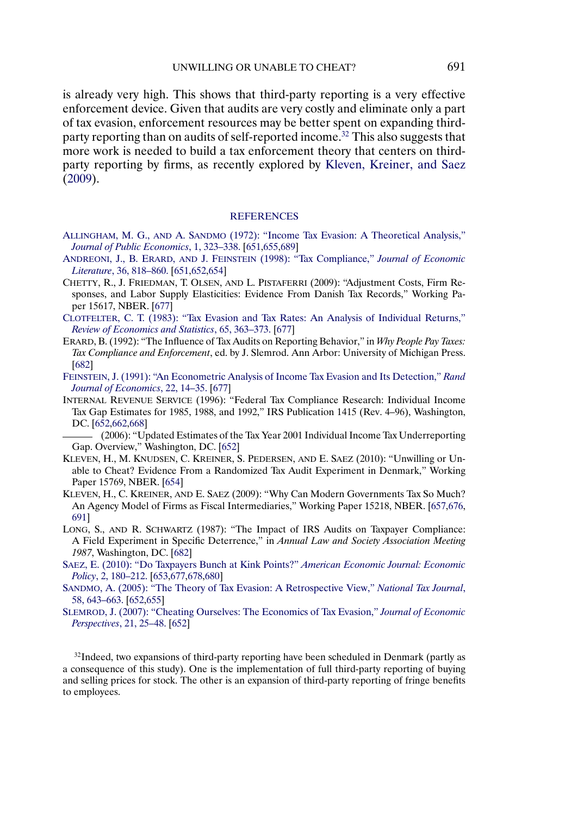<span id="page-40-0"></span>is already very high. This shows that third-party reporting is a very effective enforcement device. Given that audits are very costly and eliminate only a part of tax evasion, enforcement resources may be better spent on expanding thirdparty reporting than on audits of self-reported income.<sup>32</sup> This also suggests that more work is needed to build a tax enforcement theory that centers on thirdparty reporting by firms, as recently explored by Kleven, Kreiner, and Saez (2009).

#### **[REFERENCES](http://www.e-publications.org/srv/ecta/linkserver/setprefs?rfe_id=urn:sici%2F0012-9682%28201105%2979%3A3%3C651%3AUOUTCE%3E2.0.CO%3B2-L)**

- ALLINGHAM, M. G., AND A. SANDMO [\(1972\): "Income Tax Evasion: A Theoretical Analysis,"](http://www.e-publications.org/srv/ecta/linkserver/openurl?rft_dat=bib:1/AllSan1972&rfe_id=urn:sici%2F0012-9682%28201105%2979%3A3%3C651%3AUOUTCE%3E2.0.CO%3B2-L) *[Journal of Public Economics](http://www.e-publications.org/srv/ecta/linkserver/openurl?rft_dat=bib:1/AllSan1972&rfe_id=urn:sici%2F0012-9682%28201105%2979%3A3%3C651%3AUOUTCE%3E2.0.CO%3B2-L)*, 1, 323–338. [\[651,655,](#page--1-0)[689\]](#page-3-0)
- ANDREONI, J., B. ERARD, AND J. FEINSTEIN [\(1998\): "Tax Compliance,"](http://www.e-publications.org/srv/ecta/linkserver/openurl?rft_dat=bib:2/AEF1998&rfe_id=urn:sici%2F0012-9682%28201105%2979%3A3%3C651%3AUOUTCE%3E2.0.CO%3B2-L) *Journal of Economic Literature*[, 36, 818–860.](http://www.e-publications.org/srv/ecta/linkserver/openurl?rft_dat=bib:2/AEF1998&rfe_id=urn:sici%2F0012-9682%28201105%2979%3A3%3C651%3AUOUTCE%3E2.0.CO%3B2-L) [\[651,652,](#page--1-0)[654\]](#page-0-0)
- CHETTY, R., J. FRIEDMAN, T. OLSEN, AND L. PISTAFERRI (2009): "Adjustment Costs, Firm Responses, and Labor Supply Elasticities: Evidence From Danish Tax Records," Working Paper 15617, NBER. [\[677\]](#page-25-0)
- [CLOTFELTER, C. T. \(1983\): "Tax Evasion and Tax Rates: An Analysis of Individual Returns,"](http://www.e-publications.org/srv/ecta/linkserver/openurl?rft_dat=bib:4/Clotfelter1983&rfe_id=urn:sici%2F0012-9682%28201105%2979%3A3%3C651%3AUOUTCE%3E2.0.CO%3B2-L) *[Review of Economics and Statistics](http://www.e-publications.org/srv/ecta/linkserver/openurl?rft_dat=bib:4/Clotfelter1983&rfe_id=urn:sici%2F0012-9682%28201105%2979%3A3%3C651%3AUOUTCE%3E2.0.CO%3B2-L)*, 65, 363–373. [\[677\]](#page-25-0)
- ERARD, B. (1992): "The Influence of Tax Audits on Reporting Behavior," in *Why People Pay Taxes: Tax Compliance and Enforcement*, ed. by J. Slemrod. Ann Arbor: University of Michigan Press. [\[682\]](#page-30-0)
- [FEINSTEIN, J. \(1991\): "An Econometric Analysis of Income Tax Evasion and Its Detection,"](http://www.e-publications.org/srv/ecta/linkserver/openurl?rft_dat=bib:6/Feinstein1991&rfe_id=urn:sici%2F0012-9682%28201105%2979%3A3%3C651%3AUOUTCE%3E2.0.CO%3B2-L) *Rand [Journal of Economics](http://www.e-publications.org/srv/ecta/linkserver/openurl?rft_dat=bib:6/Feinstein1991&rfe_id=urn:sici%2F0012-9682%28201105%2979%3A3%3C651%3AUOUTCE%3E2.0.CO%3B2-L)*, 22, 14–35. [\[677\]](#page-25-0)
- INTERNAL REVENUE SERVICE (1996): "Federal Tax Compliance Research: Individual Income Tax Gap Estimates for 1985, 1988, and 1992," IRS Publication 1415 (Rev. 4–96), Washington, DC. [\[652,662](#page-0-0)[,668\]](#page-10-0)

(2006): "Updated Estimates of the Tax Year 2001 Individual Income Tax Underreporting Gap. Overview," Washington, DC. [\[652\]](#page-0-0)

- KLEVEN, H., M. KNUDSEN, C. KREINER, S. PEDERSEN, AND E. SAEZ (2010): "Unwilling or Unable to Cheat? Evidence From a Randomized Tax Audit Experiment in Denmark," Working Paper 15769, NBER. [\[654\]](#page-2-0)
- KLEVEN, H., C. KREINER, AND E. SAEZ (2009): "Why Can Modern Governments Tax So Much? An Agency Model of Firms as Fiscal Intermediaries," Working Paper 15218, NBER. [\[657,676,](#page-5-0) [691\]](#page-39-0)
- LONG, S., AND R. SCHWARTZ (1987): "The Impact of IRS Audits on Taxpayer Compliance: A Field Experiment in Specific Deterrence," in *Annual Law and Society Association Meeting 1987*, Washington, DC. [\[682\]](#page-30-0)
- [SAEZ, E. \(2010\): "Do Taxpayers Bunch at Kink Points?"](http://www.e-publications.org/srv/ecta/linkserver/openurl?rft_dat=bib:12/Saez2010&rfe_id=urn:sici%2F0012-9682%28201105%2979%3A3%3C651%3AUOUTCE%3E2.0.CO%3B2-L) *American Economic Journal: Economic Policy*[, 2, 180–212.](http://www.e-publications.org/srv/ecta/linkserver/openurl?rft_dat=bib:12/Saez2010&rfe_id=urn:sici%2F0012-9682%28201105%2979%3A3%3C651%3AUOUTCE%3E2.0.CO%3B2-L) [\[653,677](#page-1-0)[,678](#page-25-0)[,680\]](#page-26-0)
- [SANDMO, A. \(2005\): "The Theory of Tax Evasion: A Retrospective View,"](http://www.e-publications.org/srv/ecta/linkserver/openurl?rft_dat=bib:13/Sandmo2005&rfe_id=urn:sici%2F0012-9682%28201105%2979%3A3%3C651%3AUOUTCE%3E2.0.CO%3B2-L) *National Tax Journal*, [58, 643–663.](http://www.e-publications.org/srv/ecta/linkserver/openurl?rft_dat=bib:13/Sandmo2005&rfe_id=urn:sici%2F0012-9682%28201105%2979%3A3%3C651%3AUOUTCE%3E2.0.CO%3B2-L) [\[652,655\]](#page-0-0)
- [SLEMROD, J. \(2007\): "Cheating Ourselves: The Economics of Tax Evasion,"](http://www.e-publications.org/srv/ecta/linkserver/openurl?rft_dat=bib:14/Slemrod2007&rfe_id=urn:sici%2F0012-9682%28201105%2979%3A3%3C651%3AUOUTCE%3E2.0.CO%3B2-L) *Journal of Economic [Perspectives](http://www.e-publications.org/srv/ecta/linkserver/openurl?rft_dat=bib:14/Slemrod2007&rfe_id=urn:sici%2F0012-9682%28201105%2979%3A3%3C651%3AUOUTCE%3E2.0.CO%3B2-L)*, 21, 25–48. [\[652\]](#page-0-0)

<sup>32</sup>Indeed, two expansions of third-party reporting have been scheduled in Denmark (partly as a consequence of this study). One is the implementation of full third-party reporting of buying and selling prices for stock. The other is an expansion of third-party reporting of fringe benefits to employees.